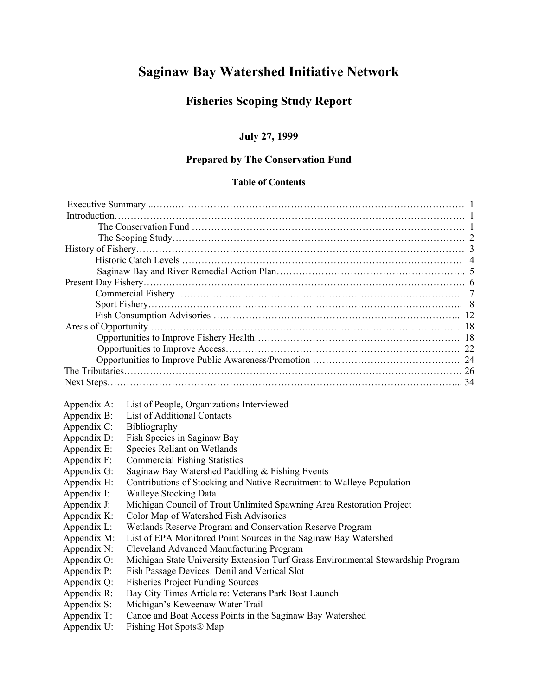# **Saginaw Bay Watershed Initiative Network**

# **Fisheries Scoping Study Report**

### **July 27, 1999**

### **Prepared by The Conservation Fund**

### **Table of Contents**

| Appendix A: | List of People, Organizations Interviewed                                        |  |  |  |  |
|-------------|----------------------------------------------------------------------------------|--|--|--|--|
| Appendix B: | <b>List of Additional Contacts</b>                                               |  |  |  |  |
| Appendix C: | Bibliography                                                                     |  |  |  |  |
| Appendix D: | Fish Species in Saginaw Bay                                                      |  |  |  |  |
| Appendix E: | Species Reliant on Wetlands                                                      |  |  |  |  |
| Appendix F: | <b>Commercial Fishing Statistics</b>                                             |  |  |  |  |
| Appendix G: | Saginaw Bay Watershed Paddling & Fishing Events                                  |  |  |  |  |
| Appendix H: | Contributions of Stocking and Native Recruitment to Walleye Population           |  |  |  |  |
| Appendix I: | <b>Walleye Stocking Data</b>                                                     |  |  |  |  |
| Appendix J: | Michigan Council of Trout Unlimited Spawning Area Restoration Project            |  |  |  |  |
| Appendix K: | Color Map of Watershed Fish Advisories                                           |  |  |  |  |
| Appendix L: | Wetlands Reserve Program and Conservation Reserve Program                        |  |  |  |  |
| Appendix M: | List of EPA Monitored Point Sources in the Saginaw Bay Watershed                 |  |  |  |  |
| Appendix N: | Cleveland Advanced Manufacturing Program                                         |  |  |  |  |
| Appendix O: | Michigan State University Extension Turf Grass Environmental Stewardship Program |  |  |  |  |
| Appendix P: | Fish Passage Devices: Denil and Vertical Slot                                    |  |  |  |  |
| Appendix Q: | <b>Fisheries Project Funding Sources</b>                                         |  |  |  |  |
| Appendix R: | Bay City Times Article re: Veterans Park Boat Launch                             |  |  |  |  |
| Appendix S: | Michigan's Keweenaw Water Trail                                                  |  |  |  |  |
| Appendix T: | Canoe and Boat Access Points in the Saginaw Bay Watershed                        |  |  |  |  |
| Appendix U: | Fishing Hot Spots® Map                                                           |  |  |  |  |
|             |                                                                                  |  |  |  |  |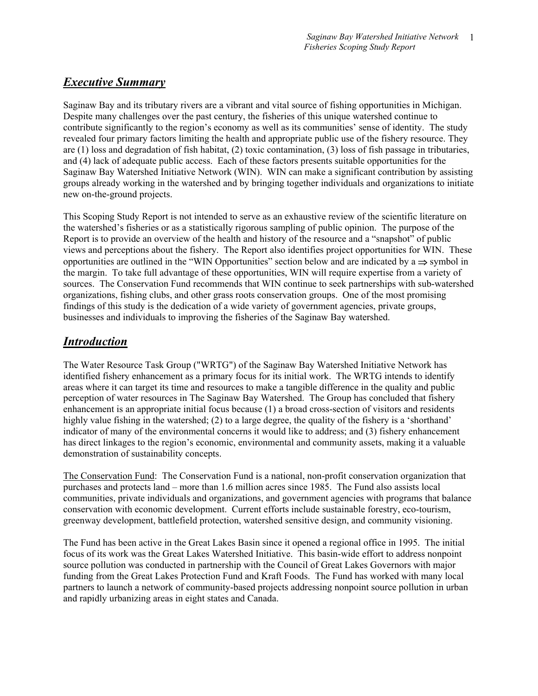# *Executive Summary*

Saginaw Bay and its tributary rivers are a vibrant and vital source of fishing opportunities in Michigan. Despite many challenges over the past century, the fisheries of this unique watershed continue to contribute significantly to the region's economy as well as its communities' sense of identity. The study revealed four primary factors limiting the health and appropriate public use of the fishery resource. They are (1) loss and degradation of fish habitat, (2) toxic contamination, (3) loss of fish passage in tributaries, and (4) lack of adequate public access. Each of these factors presents suitable opportunities for the Saginaw Bay Watershed Initiative Network (WIN). WIN can make a significant contribution by assisting groups already working in the watershed and by bringing together individuals and organizations to initiate new on-the-ground projects.

This Scoping Study Report is not intended to serve as an exhaustive review of the scientific literature on the watershed's fisheries or as a statistically rigorous sampling of public opinion. The purpose of the Report is to provide an overview of the health and history of the resource and a "snapshot" of public views and perceptions about the fishery. The Report also identifies project opportunities for WIN. These opportunities are outlined in the "WIN Opportunities" section below and are indicated by a ⇒ symbol in the margin. To take full advantage of these opportunities, WIN will require expertise from a variety of sources. The Conservation Fund recommends that WIN continue to seek partnerships with sub-watershed organizations, fishing clubs, and other grass roots conservation groups. One of the most promising findings of this study is the dedication of a wide variety of government agencies, private groups, businesses and individuals to improving the fisheries of the Saginaw Bay watershed.

# *Introduction*

The Water Resource Task Group ("WRTG") of the Saginaw Bay Watershed Initiative Network has identified fishery enhancement as a primary focus for its initial work. The WRTG intends to identify areas where it can target its time and resources to make a tangible difference in the quality and public perception of water resources in The Saginaw Bay Watershed. The Group has concluded that fishery enhancement is an appropriate initial focus because (1) a broad cross-section of visitors and residents highly value fishing in the watershed; (2) to a large degree, the quality of the fishery is a 'shorthand' indicator of many of the environmental concerns it would like to address; and (3) fishery enhancement has direct linkages to the region's economic, environmental and community assets, making it a valuable demonstration of sustainability concepts.

The Conservation Fund:The Conservation Fund is a national, non-profit conservation organization that purchases and protects land – more than 1.6 million acres since 1985. The Fund also assists local communities, private individuals and organizations, and government agencies with programs that balance conservation with economic development. Current efforts include sustainable forestry, eco-tourism, greenway development, battlefield protection, watershed sensitive design, and community visioning.

The Fund has been active in the Great Lakes Basin since it opened a regional office in 1995. The initial focus of its work was the Great Lakes Watershed Initiative. This basin-wide effort to address nonpoint source pollution was conducted in partnership with the Council of Great Lakes Governors with major funding from the Great Lakes Protection Fund and Kraft Foods. The Fund has worked with many local partners to launch a network of community-based projects addressing nonpoint source pollution in urban and rapidly urbanizing areas in eight states and Canada.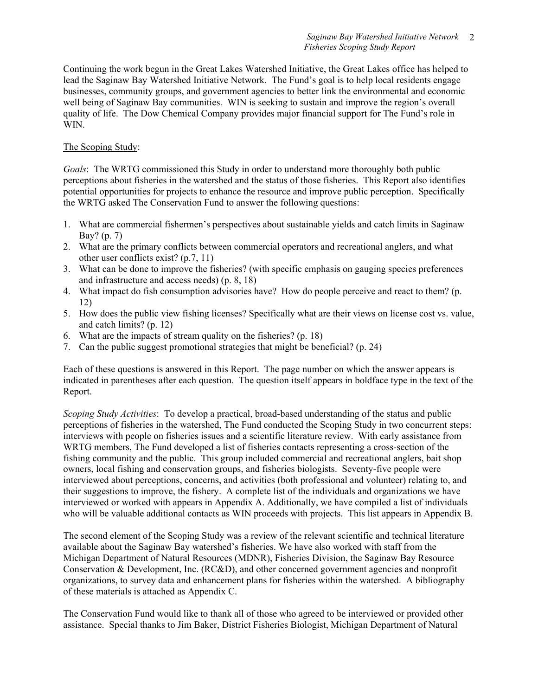Continuing the work begun in the Great Lakes Watershed Initiative, the Great Lakes office has helped to lead the Saginaw Bay Watershed Initiative Network. The Fund's goal is to help local residents engage businesses, community groups, and government agencies to better link the environmental and economic well being of Saginaw Bay communities. WIN is seeking to sustain and improve the region's overall quality of life. The Dow Chemical Company provides major financial support for The Fund's role in WIN.

### The Scoping Study:

*Goals*: The WRTG commissioned this Study in order to understand more thoroughly both public perceptions about fisheries in the watershed and the status of those fisheries. This Report also identifies potential opportunities for projects to enhance the resource and improve public perception. Specifically the WRTG asked The Conservation Fund to answer the following questions:

- 1. What are commercial fishermen's perspectives about sustainable yields and catch limits in Saginaw Bay? (p. 7)
- 2. What are the primary conflicts between commercial operators and recreational anglers, and what other user conflicts exist? (p.7, 11)
- 3. What can be done to improve the fisheries? (with specific emphasis on gauging species preferences and infrastructure and access needs) (p. 8, 18)
- 4. What impact do fish consumption advisories have? How do people perceive and react to them? (p. 12)
- 5. How does the public view fishing licenses? Specifically what are their views on license cost vs. value, and catch limits? (p. 12)
- 6. What are the impacts of stream quality on the fisheries? (p. 18)
- 7. Can the public suggest promotional strategies that might be beneficial? (p. 24)

Each of these questions is answered in this Report. The page number on which the answer appears is indicated in parentheses after each question. The question itself appears in boldface type in the text of the Report.

*Scoping Study Activities*: To develop a practical, broad-based understanding of the status and public perceptions of fisheries in the watershed, The Fund conducted the Scoping Study in two concurrent steps: interviews with people on fisheries issues and a scientific literature review. With early assistance from WRTG members, The Fund developed a list of fisheries contacts representing a cross-section of the fishing community and the public. This group included commercial and recreational anglers, bait shop owners, local fishing and conservation groups, and fisheries biologists. Seventy-five people were interviewed about perceptions, concerns, and activities (both professional and volunteer) relating to, and their suggestions to improve, the fishery. A complete list of the individuals and organizations we have interviewed or worked with appears in Appendix A. Additionally, we have compiled a list of individuals who will be valuable additional contacts as WIN proceeds with projects. This list appears in Appendix B.

The second element of the Scoping Study was a review of the relevant scientific and technical literature available about the Saginaw Bay watershed's fisheries. We have also worked with staff from the Michigan Department of Natural Resources (MDNR), Fisheries Division, the Saginaw Bay Resource Conservation & Development, Inc. (RC&D), and other concerned government agencies and nonprofit organizations, to survey data and enhancement plans for fisheries within the watershed. A bibliography of these materials is attached as Appendix C.

The Conservation Fund would like to thank all of those who agreed to be interviewed or provided other assistance. Special thanks to Jim Baker, District Fisheries Biologist, Michigan Department of Natural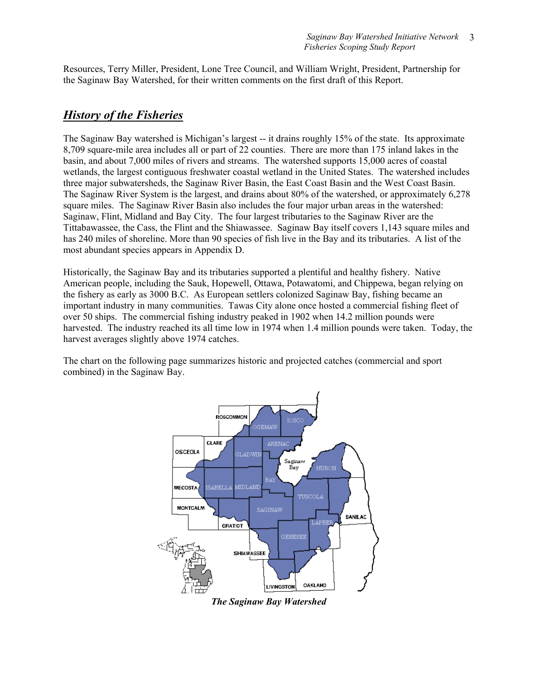Resources, Terry Miller, President, Lone Tree Council, and William Wright, President, Partnership for the Saginaw Bay Watershed, for their written comments on the first draft of this Report.

### *History of the Fisheries*

The Saginaw Bay watershed is Michigan's largest -- it drains roughly 15% of the state. Its approximate 8,709 square-mile area includes all or part of 22 counties. There are more than 175 inland lakes in the basin, and about 7,000 miles of rivers and streams. The watershed supports 15,000 acres of coastal wetlands, the largest contiguous freshwater coastal wetland in the United States. The watershed includes three major subwatersheds, the Saginaw River Basin, the East Coast Basin and the West Coast Basin. The Saginaw River System is the largest, and drains about 80% of the watershed, or approximately 6,278 square miles. The Saginaw River Basin also includes the four major urban areas in the watershed: Saginaw, Flint, Midland and Bay City. The four largest tributaries to the Saginaw River are the Tittabawassee, the Cass, the Flint and the Shiawassee. Saginaw Bay itself covers 1,143 square miles and has 240 miles of shoreline. More than 90 species of fish live in the Bay and its tributaries. A list of the most abundant species appears in Appendix D.

Historically, the Saginaw Bay and its tributaries supported a plentiful and healthy fishery. Native American people, including the Sauk, Hopewell, Ottawa, Potawatomi, and Chippewa, began relying on the fishery as early as 3000 B.C. As European settlers colonized Saginaw Bay, fishing became an important industry in many communities. Tawas City alone once hosted a commercial fishing fleet of over 50 ships. The commercial fishing industry peaked in 1902 when 14.2 million pounds were harvested. The industry reached its all time low in 1974 when 1.4 million pounds were taken. Today, the harvest averages slightly above 1974 catches.

The chart on the following page summarizes historic and projected catches (commercial and sport combined) in the Saginaw Bay.



*The Saginaw Bay Watershed*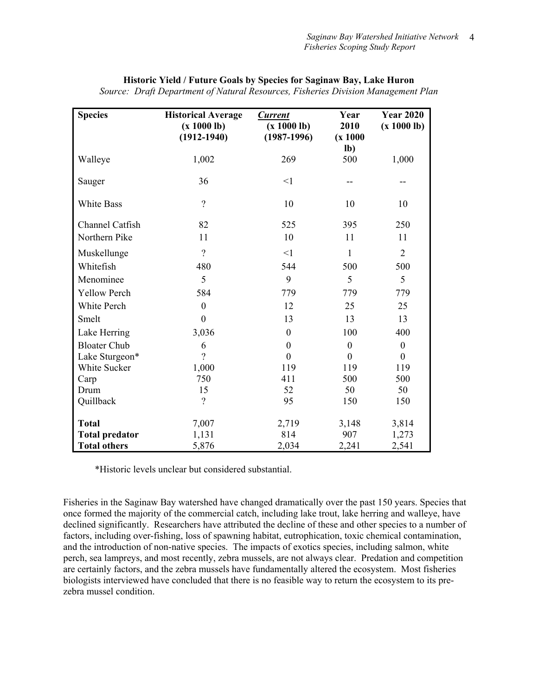| <b>Species</b>        | <b>Historical Average</b><br>(x 1000 lb)<br>$(1912 - 1940)$ | <b>Current</b><br>(x 1000 lb)<br>$(1987-1996)$ | Year<br>2010<br>(x 1000 | <b>Year 2020</b><br>(x 1000 lb) |
|-----------------------|-------------------------------------------------------------|------------------------------------------------|-------------------------|---------------------------------|
|                       |                                                             |                                                | $lb$ )                  |                                 |
| Walleye               | 1,002                                                       | 269                                            | 500                     | 1,000                           |
| Sauger                | 36                                                          | <1                                             | --                      |                                 |
| <b>White Bass</b>     | $\gamma$                                                    | 10                                             | 10                      | 10                              |
| Channel Catfish       | 82                                                          | 525                                            | 395                     | 250                             |
| Northern Pike         | 11                                                          | 10                                             | 11                      | 11                              |
| Muskellunge           | $\overline{?}$                                              | $\leq$ 1                                       | 1                       | $\overline{2}$                  |
| Whitefish             | 480                                                         | 544                                            | 500                     | 500                             |
| Menominee             | 5                                                           | 9                                              | 5                       | 5                               |
| <b>Yellow Perch</b>   | 584                                                         | 779                                            | 779                     | 779                             |
| White Perch           | $\boldsymbol{0}$                                            | 12                                             | 25                      | 25                              |
| Smelt                 | $\mathbf{0}$                                                | 13                                             | 13                      | 13                              |
| Lake Herring          | 3,036                                                       | $\theta$                                       | 100                     | 400                             |
| <b>Bloater Chub</b>   | 6                                                           | $\boldsymbol{0}$                               | $\mathbf{0}$            | $\boldsymbol{0}$                |
| Lake Sturgeon*        | $\overline{?}$                                              | $\theta$                                       | $\theta$                | $\boldsymbol{0}$                |
| White Sucker          | 1,000                                                       | 119                                            | 119                     | 119                             |
| Carp                  | 750                                                         | 411                                            | 500                     | 500                             |
| Drum                  | 15                                                          | 52                                             | 50                      | 50                              |
| Quillback             | $\overline{?}$                                              | 95                                             | 150                     | 150                             |
| <b>Total</b>          | 7,007                                                       | 2,719                                          | 3,148                   | 3,814                           |
| <b>Total predator</b> | 1,131                                                       | 814                                            | 907                     | 1,273                           |
| <b>Total others</b>   | 5,876                                                       | 2,034                                          | 2,241                   | 2,541                           |

### **Historic Yield / Future Goals by Species for Saginaw Bay, Lake Huron**

*Source: Draft Department of Natural Resources, Fisheries Division Management Plan* 

\*Historic levels unclear but considered substantial.

Fisheries in the Saginaw Bay watershed have changed dramatically over the past 150 years. Species that once formed the majority of the commercial catch, including lake trout, lake herring and walleye, have declined significantly. Researchers have attributed the decline of these and other species to a number of factors, including over-fishing, loss of spawning habitat, eutrophication, toxic chemical contamination, and the introduction of non-native species. The impacts of exotics species, including salmon, white perch, sea lampreys, and most recently, zebra mussels, are not always clear. Predation and competition are certainly factors, and the zebra mussels have fundamentally altered the ecosystem. Most fisheries biologists interviewed have concluded that there is no feasible way to return the ecosystem to its prezebra mussel condition.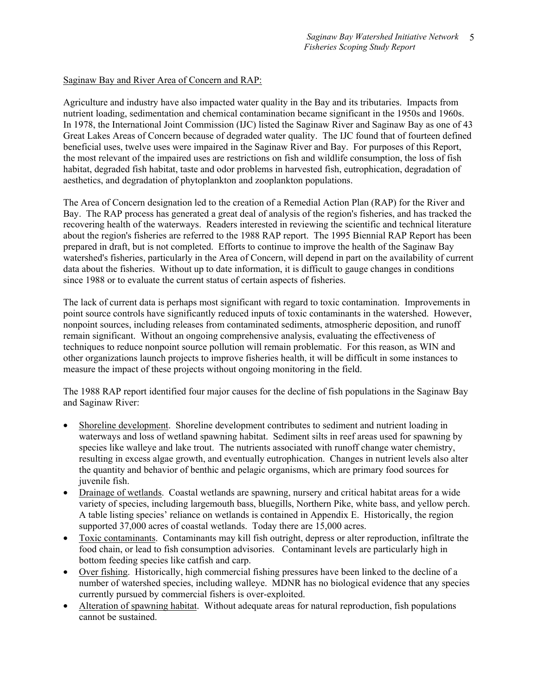### Saginaw Bay and River Area of Concern and RAP:

Agriculture and industry have also impacted water quality in the Bay and its tributaries. Impacts from nutrient loading, sedimentation and chemical contamination became significant in the 1950s and 1960s. In 1978, the International Joint Commission (IJC) listed the Saginaw River and Saginaw Bay as one of 43 Great Lakes Areas of Concern because of degraded water quality. The IJC found that of fourteen defined beneficial uses, twelve uses were impaired in the Saginaw River and Bay. For purposes of this Report, the most relevant of the impaired uses are restrictions on fish and wildlife consumption, the loss of fish habitat, degraded fish habitat, taste and odor problems in harvested fish, eutrophication, degradation of aesthetics, and degradation of phytoplankton and zooplankton populations.

The Area of Concern designation led to the creation of a Remedial Action Plan (RAP) for the River and Bay. The RAP process has generated a great deal of analysis of the region's fisheries, and has tracked the recovering health of the waterways. Readers interested in reviewing the scientific and technical literature about the region's fisheries are referred to the 1988 RAP report. The 1995 Biennial RAP Report has been prepared in draft, but is not completed. Efforts to continue to improve the health of the Saginaw Bay watershed's fisheries, particularly in the Area of Concern, will depend in part on the availability of current data about the fisheries. Without up to date information, it is difficult to gauge changes in conditions since 1988 or to evaluate the current status of certain aspects of fisheries.

The lack of current data is perhaps most significant with regard to toxic contamination. Improvements in point source controls have significantly reduced inputs of toxic contaminants in the watershed. However, nonpoint sources, including releases from contaminated sediments, atmospheric deposition, and runoff remain significant. Without an ongoing comprehensive analysis, evaluating the effectiveness of techniques to reduce nonpoint source pollution will remain problematic. For this reason, as WIN and other organizations launch projects to improve fisheries health, it will be difficult in some instances to measure the impact of these projects without ongoing monitoring in the field.

The 1988 RAP report identified four major causes for the decline of fish populations in the Saginaw Bay and Saginaw River:

- Shoreline development. Shoreline development contributes to sediment and nutrient loading in waterways and loss of wetland spawning habitat. Sediment silts in reef areas used for spawning by species like walleye and lake trout. The nutrients associated with runoff change water chemistry, resulting in excess algae growth, and eventually eutrophication. Changes in nutrient levels also alter the quantity and behavior of benthic and pelagic organisms, which are primary food sources for juvenile fish.
- Drainage of wetlands. Coastal wetlands are spawning, nursery and critical habitat areas for a wide variety of species, including largemouth bass, bluegills, Northern Pike, white bass, and yellow perch. A table listing species' reliance on wetlands is contained in Appendix E. Historically, the region supported 37,000 acres of coastal wetlands. Today there are 15,000 acres.
- Toxic contaminants. Contaminants may kill fish outright, depress or alter reproduction, infiltrate the food chain, or lead to fish consumption advisories. Contaminant levels are particularly high in bottom feeding species like catfish and carp.
- Over fishing. Historically, high commercial fishing pressures have been linked to the decline of a number of watershed species, including walleye. MDNR has no biological evidence that any species currently pursued by commercial fishers is over-exploited.
- Alteration of spawning habitat. Without adequate areas for natural reproduction, fish populations cannot be sustained.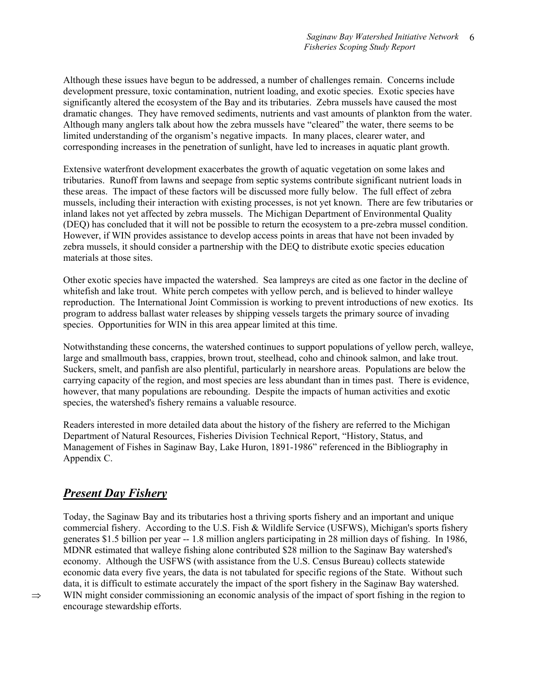Although these issues have begun to be addressed, a number of challenges remain. Concerns include development pressure, toxic contamination, nutrient loading, and exotic species. Exotic species have significantly altered the ecosystem of the Bay and its tributaries. Zebra mussels have caused the most dramatic changes. They have removed sediments, nutrients and vast amounts of plankton from the water. Although many anglers talk about how the zebra mussels have "cleared" the water, there seems to be limited understanding of the organism's negative impacts. In many places, clearer water, and corresponding increases in the penetration of sunlight, have led to increases in aquatic plant growth.

Extensive waterfront development exacerbates the growth of aquatic vegetation on some lakes and tributaries. Runoff from lawns and seepage from septic systems contribute significant nutrient loads in these areas. The impact of these factors will be discussed more fully below. The full effect of zebra mussels, including their interaction with existing processes, is not yet known. There are few tributaries or inland lakes not yet affected by zebra mussels. The Michigan Department of Environmental Quality (DEQ) has concluded that it will not be possible to return the ecosystem to a pre-zebra mussel condition. However, if WIN provides assistance to develop access points in areas that have not been invaded by zebra mussels, it should consider a partnership with the DEQ to distribute exotic species education materials at those sites.

Other exotic species have impacted the watershed. Sea lampreys are cited as one factor in the decline of whitefish and lake trout. White perch competes with yellow perch, and is believed to hinder walleye reproduction. The International Joint Commission is working to prevent introductions of new exotics. Its program to address ballast water releases by shipping vessels targets the primary source of invading species. Opportunities for WIN in this area appear limited at this time.

Notwithstanding these concerns, the watershed continues to support populations of yellow perch, walleye, large and smallmouth bass, crappies, brown trout, steelhead, coho and chinook salmon, and lake trout. Suckers, smelt, and panfish are also plentiful, particularly in nearshore areas. Populations are below the carrying capacity of the region, and most species are less abundant than in times past. There is evidence, however, that many populations are rebounding. Despite the impacts of human activities and exotic species, the watershed's fishery remains a valuable resource.

Readers interested in more detailed data about the history of the fishery are referred to the Michigan Department of Natural Resources, Fisheries Division Technical Report, "History, Status, and Management of Fishes in Saginaw Bay, Lake Huron, 1891-1986" referenced in the Bibliography in Appendix C.

### *Present Day Fishery*

Today, the Saginaw Bay and its tributaries host a thriving sports fishery and an important and unique commercial fishery. According to the U.S. Fish & Wildlife Service (USFWS), Michigan's sports fishery generates \$1.5 billion per year -- 1.8 million anglers participating in 28 million days of fishing. In 1986, MDNR estimated that walleye fishing alone contributed \$28 million to the Saginaw Bay watershed's economy. Although the USFWS (with assistance from the U.S. Census Bureau) collects statewide economic data every five years, the data is not tabulated for specific regions of the State. Without such data, it is difficult to estimate accurately the impact of the sport fishery in the Saginaw Bay watershed.  $\Rightarrow$  WIN might consider commissioning an economic analysis of the impact of sport fishing in the region to encourage stewardship efforts.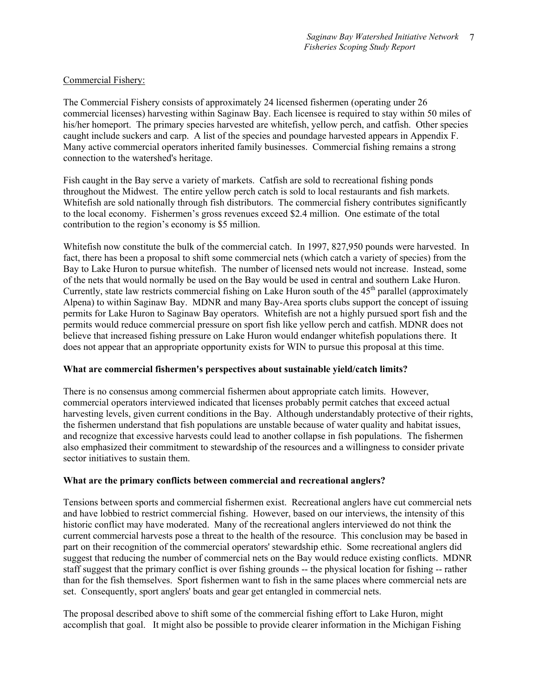### Commercial Fishery:

The Commercial Fishery consists of approximately 24 licensed fishermen (operating under 26 commercial licenses) harvesting within Saginaw Bay. Each licensee is required to stay within 50 miles of his/her homeport. The primary species harvested are whitefish, yellow perch, and catfish. Other species caught include suckers and carp. A list of the species and poundage harvested appears in Appendix F. Many active commercial operators inherited family businesses. Commercial fishing remains a strong connection to the watershed's heritage.

Fish caught in the Bay serve a variety of markets. Catfish are sold to recreational fishing ponds throughout the Midwest. The entire yellow perch catch is sold to local restaurants and fish markets. Whitefish are sold nationally through fish distributors. The commercial fishery contributes significantly to the local economy. Fishermen's gross revenues exceed \$2.4 million. One estimate of the total contribution to the region's economy is \$5 million.

Whitefish now constitute the bulk of the commercial catch. In 1997, 827,950 pounds were harvested. In fact, there has been a proposal to shift some commercial nets (which catch a variety of species) from the Bay to Lake Huron to pursue whitefish. The number of licensed nets would not increase. Instead, some of the nets that would normally be used on the Bay would be used in central and southern Lake Huron. Currently, state law restricts commercial fishing on Lake Huron south of the  $45<sup>th</sup>$  parallel (approximately Alpena) to within Saginaw Bay. MDNR and many Bay-Area sports clubs support the concept of issuing permits for Lake Huron to Saginaw Bay operators. Whitefish are not a highly pursued sport fish and the permits would reduce commercial pressure on sport fish like yellow perch and catfish. MDNR does not believe that increased fishing pressure on Lake Huron would endanger whitefish populations there. It does not appear that an appropriate opportunity exists for WIN to pursue this proposal at this time.

### **What are commercial fishermen's perspectives about sustainable yield/catch limits?**

There is no consensus among commercial fishermen about appropriate catch limits. However, commercial operators interviewed indicated that licenses probably permit catches that exceed actual harvesting levels, given current conditions in the Bay. Although understandably protective of their rights, the fishermen understand that fish populations are unstable because of water quality and habitat issues, and recognize that excessive harvests could lead to another collapse in fish populations. The fishermen also emphasized their commitment to stewardship of the resources and a willingness to consider private sector initiatives to sustain them.

### **What are the primary conflicts between commercial and recreational anglers?**

Tensions between sports and commercial fishermen exist. Recreational anglers have cut commercial nets and have lobbied to restrict commercial fishing. However, based on our interviews, the intensity of this historic conflict may have moderated. Many of the recreational anglers interviewed do not think the current commercial harvests pose a threat to the health of the resource. This conclusion may be based in part on their recognition of the commercial operators' stewardship ethic. Some recreational anglers did suggest that reducing the number of commercial nets on the Bay would reduce existing conflicts. MDNR staff suggest that the primary conflict is over fishing grounds -- the physical location for fishing -- rather than for the fish themselves. Sport fishermen want to fish in the same places where commercial nets are set. Consequently, sport anglers' boats and gear get entangled in commercial nets.

The proposal described above to shift some of the commercial fishing effort to Lake Huron, might accomplish that goal. It might also be possible to provide clearer information in the Michigan Fishing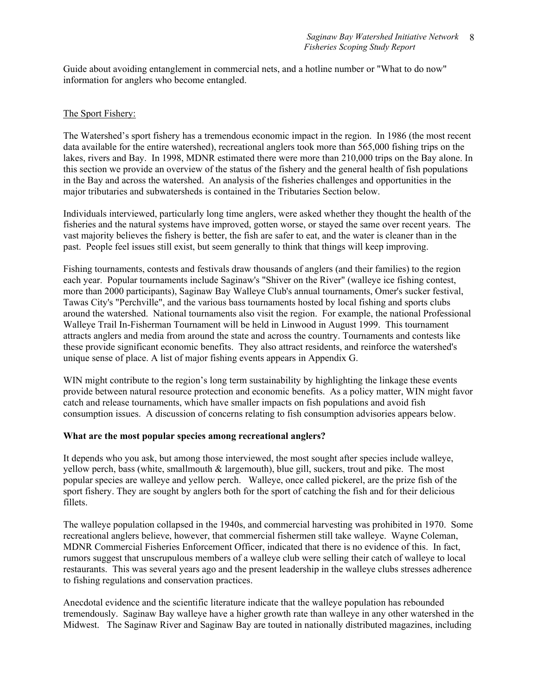Guide about avoiding entanglement in commercial nets, and a hotline number or "What to do now" information for anglers who become entangled.

### The Sport Fishery:

The Watershed's sport fishery has a tremendous economic impact in the region. In 1986 (the most recent data available for the entire watershed), recreational anglers took more than 565,000 fishing trips on the lakes, rivers and Bay. In 1998, MDNR estimated there were more than 210,000 trips on the Bay alone. In this section we provide an overview of the status of the fishery and the general health of fish populations in the Bay and across the watershed. An analysis of the fisheries challenges and opportunities in the major tributaries and subwatersheds is contained in the Tributaries Section below.

Individuals interviewed, particularly long time anglers, were asked whether they thought the health of the fisheries and the natural systems have improved, gotten worse, or stayed the same over recent years. The vast majority believes the fishery is better, the fish are safer to eat, and the water is cleaner than in the past. People feel issues still exist, but seem generally to think that things will keep improving.

Fishing tournaments, contests and festivals draw thousands of anglers (and their families) to the region each year. Popular tournaments include Saginaw's "Shiver on the River" (walleye ice fishing contest, more than 2000 participants), Saginaw Bay Walleye Club's annual tournaments, Omer's sucker festival, Tawas City's "Perchville", and the various bass tournaments hosted by local fishing and sports clubs around the watershed. National tournaments also visit the region. For example, the national Professional Walleye Trail In-Fisherman Tournament will be held in Linwood in August 1999. This tournament attracts anglers and media from around the state and across the country. Tournaments and contests like these provide significant economic benefits. They also attract residents, and reinforce the watershed's unique sense of place. A list of major fishing events appears in Appendix G.

WIN might contribute to the region's long term sustainability by highlighting the linkage these events provide between natural resource protection and economic benefits. As a policy matter, WIN might favor catch and release tournaments, which have smaller impacts on fish populations and avoid fish consumption issues. A discussion of concerns relating to fish consumption advisories appears below.

### **What are the most popular species among recreational anglers?**

It depends who you ask, but among those interviewed, the most sought after species include walleye, yellow perch, bass (white, smallmouth & largemouth), blue gill, suckers, trout and pike. The most popular species are walleye and yellow perch. Walleye, once called pickerel, are the prize fish of the sport fishery. They are sought by anglers both for the sport of catching the fish and for their delicious fillets.

The walleye population collapsed in the 1940s, and commercial harvesting was prohibited in 1970. Some recreational anglers believe, however, that commercial fishermen still take walleye. Wayne Coleman, MDNR Commercial Fisheries Enforcement Officer, indicated that there is no evidence of this. In fact, rumors suggest that unscrupulous members of a walleye club were selling their catch of walleye to local restaurants. This was several years ago and the present leadership in the walleye clubs stresses adherence to fishing regulations and conservation practices.

Anecdotal evidence and the scientific literature indicate that the walleye population has rebounded tremendously. Saginaw Bay walleye have a higher growth rate than walleye in any other watershed in the Midwest. The Saginaw River and Saginaw Bay are touted in nationally distributed magazines, including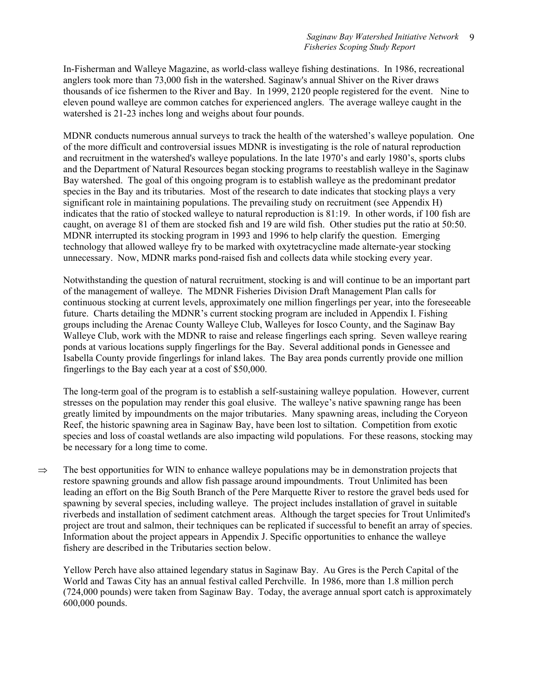In-Fisherman and Walleye Magazine, as world-class walleye fishing destinations. In 1986, recreational anglers took more than 73,000 fish in the watershed. Saginaw's annual Shiver on the River draws thousands of ice fishermen to the River and Bay. In 1999, 2120 people registered for the event. Nine to eleven pound walleye are common catches for experienced anglers. The average walleye caught in the watershed is 21-23 inches long and weighs about four pounds.

MDNR conducts numerous annual surveys to track the health of the watershed's walleye population. One of the more difficult and controversial issues MDNR is investigating is the role of natural reproduction and recruitment in the watershed's walleye populations. In the late 1970's and early 1980's, sports clubs and the Department of Natural Resources began stocking programs to reestablish walleye in the Saginaw Bay watershed. The goal of this ongoing program is to establish walleye as the predominant predator species in the Bay and its tributaries. Most of the research to date indicates that stocking plays a very significant role in maintaining populations. The prevailing study on recruitment (see Appendix H) indicates that the ratio of stocked walleye to natural reproduction is 81:19. In other words, if 100 fish are caught, on average 81 of them are stocked fish and 19 are wild fish. Other studies put the ratio at 50:50. MDNR interrupted its stocking program in 1993 and 1996 to help clarify the question. Emerging technology that allowed walleye fry to be marked with oxytetracycline made alternate-year stocking unnecessary. Now, MDNR marks pond-raised fish and collects data while stocking every year.

Notwithstanding the question of natural recruitment, stocking is and will continue to be an important part of the management of walleye. The MDNR Fisheries Division Draft Management Plan calls for continuous stocking at current levels, approximately one million fingerlings per year, into the foreseeable future. Charts detailing the MDNR's current stocking program are included in Appendix I. Fishing groups including the Arenac County Walleye Club, Walleyes for Iosco County, and the Saginaw Bay Walleye Club, work with the MDNR to raise and release fingerlings each spring. Seven walleye rearing ponds at various locations supply fingerlings for the Bay. Several additional ponds in Genessee and Isabella County provide fingerlings for inland lakes. The Bay area ponds currently provide one million fingerlings to the Bay each year at a cost of \$50,000.

The long-term goal of the program is to establish a self-sustaining walleye population. However, current stresses on the population may render this goal elusive. The walleye's native spawning range has been greatly limited by impoundments on the major tributaries. Many spawning areas, including the Coryeon Reef, the historic spawning area in Saginaw Bay, have been lost to siltation. Competition from exotic species and loss of coastal wetlands are also impacting wild populations. For these reasons, stocking may be necessary for a long time to come.

 $\Rightarrow$  The best opportunities for WIN to enhance walleye populations may be in demonstration projects that restore spawning grounds and allow fish passage around impoundments. Trout Unlimited has been leading an effort on the Big South Branch of the Pere Marquette River to restore the gravel beds used for spawning by several species, including walleye. The project includes installation of gravel in suitable riverbeds and installation of sediment catchment areas. Although the target species for Trout Unlimited's project are trout and salmon, their techniques can be replicated if successful to benefit an array of species. Information about the project appears in Appendix J. Specific opportunities to enhance the walleye fishery are described in the Tributaries section below.

Yellow Perch have also attained legendary status in Saginaw Bay. Au Gres is the Perch Capital of the World and Tawas City has an annual festival called Perchville. In 1986, more than 1.8 million perch (724,000 pounds) were taken from Saginaw Bay. Today, the average annual sport catch is approximately 600,000 pounds.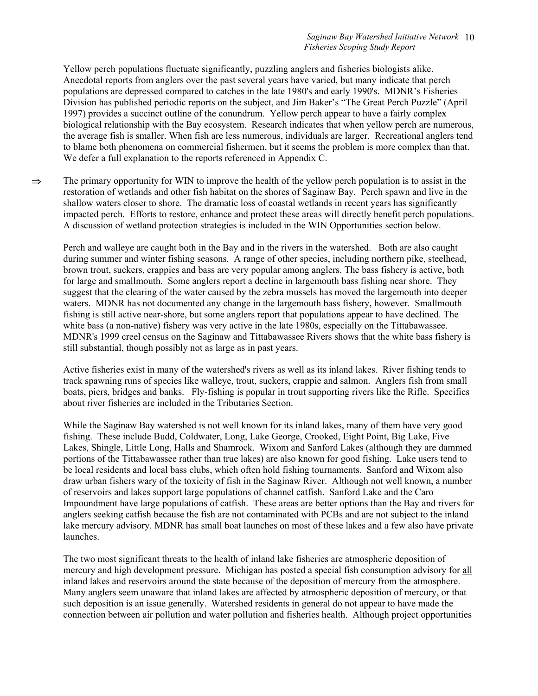Yellow perch populations fluctuate significantly, puzzling anglers and fisheries biologists alike. Anecdotal reports from anglers over the past several years have varied, but many indicate that perch populations are depressed compared to catches in the late 1980's and early 1990's. MDNR's Fisheries Division has published periodic reports on the subject, and Jim Baker's "The Great Perch Puzzle" (April 1997) provides a succinct outline of the conundrum. Yellow perch appear to have a fairly complex biological relationship with the Bay ecosystem. Research indicates that when yellow perch are numerous, the average fish is smaller. When fish are less numerous, individuals are larger. Recreational anglers tend to blame both phenomena on commercial fishermen, but it seems the problem is more complex than that. We defer a full explanation to the reports referenced in Appendix C.

 $\Rightarrow$  The primary opportunity for WIN to improve the health of the yellow perch population is to assist in the restoration of wetlands and other fish habitat on the shores of Saginaw Bay. Perch spawn and live in the shallow waters closer to shore. The dramatic loss of coastal wetlands in recent years has significantly impacted perch. Efforts to restore, enhance and protect these areas will directly benefit perch populations. A discussion of wetland protection strategies is included in the WIN Opportunities section below.

Perch and walleye are caught both in the Bay and in the rivers in the watershed. Both are also caught during summer and winter fishing seasons. A range of other species, including northern pike, steelhead, brown trout, suckers, crappies and bass are very popular among anglers. The bass fishery is active, both for large and smallmouth. Some anglers report a decline in largemouth bass fishing near shore. They suggest that the clearing of the water caused by the zebra mussels has moved the largemouth into deeper waters. MDNR has not documented any change in the largemouth bass fishery, however. Smallmouth fishing is still active near-shore, but some anglers report that populations appear to have declined. The white bass (a non-native) fishery was very active in the late 1980s, especially on the Tittabawassee. MDNR's 1999 creel census on the Saginaw and Tittabawassee Rivers shows that the white bass fishery is still substantial, though possibly not as large as in past years.

Active fisheries exist in many of the watershed's rivers as well as its inland lakes. River fishing tends to track spawning runs of species like walleye, trout, suckers, crappie and salmon. Anglers fish from small boats, piers, bridges and banks. Fly-fishing is popular in trout supporting rivers like the Rifle. Specifics about river fisheries are included in the Tributaries Section.

While the Saginaw Bay watershed is not well known for its inland lakes, many of them have very good fishing. These include Budd, Coldwater, Long, Lake George, Crooked, Eight Point, Big Lake, Five Lakes, Shingle, Little Long, Halls and Shamrock. Wixom and Sanford Lakes (although they are dammed portions of the Tittabawassee rather than true lakes) are also known for good fishing. Lake users tend to be local residents and local bass clubs, which often hold fishing tournaments. Sanford and Wixom also draw urban fishers wary of the toxicity of fish in the Saginaw River. Although not well known, a number of reservoirs and lakes support large populations of channel catfish. Sanford Lake and the Caro Impoundment have large populations of catfish. These areas are better options than the Bay and rivers for anglers seeking catfish because the fish are not contaminated with PCBs and are not subject to the inland lake mercury advisory. MDNR has small boat launches on most of these lakes and a few also have private launches.

The two most significant threats to the health of inland lake fisheries are atmospheric deposition of mercury and high development pressure. Michigan has posted a special fish consumption advisory for all inland lakes and reservoirs around the state because of the deposition of mercury from the atmosphere. Many anglers seem unaware that inland lakes are affected by atmospheric deposition of mercury, or that such deposition is an issue generally. Watershed residents in general do not appear to have made the connection between air pollution and water pollution and fisheries health. Although project opportunities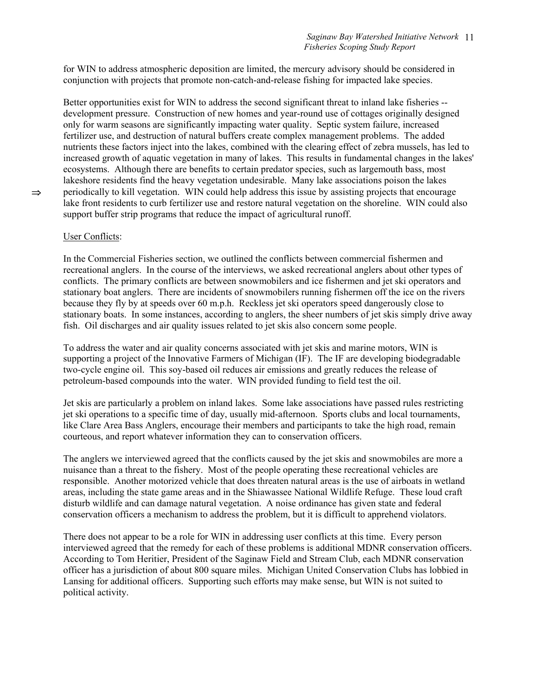for WIN to address atmospheric deposition are limited, the mercury advisory should be considered in conjunction with projects that promote non-catch-and-release fishing for impacted lake species.

Better opportunities exist for WIN to address the second significant threat to inland lake fisheries - development pressure. Construction of new homes and year-round use of cottages originally designed only for warm seasons are significantly impacting water quality. Septic system failure, increased fertilizer use, and destruction of natural buffers create complex management problems. The added nutrients these factors inject into the lakes, combined with the clearing effect of zebra mussels, has led to increased growth of aquatic vegetation in many of lakes. This results in fundamental changes in the lakes' ecosystems. Although there are benefits to certain predator species, such as largemouth bass, most lakeshore residents find the heavy vegetation undesirable. Many lake associations poison the lakes  $\Rightarrow$  periodically to kill vegetation. WIN could help address this issue by assisting projects that encourage lake front residents to curb fertilizer use and restore natural vegetation on the shoreline. WIN could also support buffer strip programs that reduce the impact of agricultural runoff.

### User Conflicts:

In the Commercial Fisheries section, we outlined the conflicts between commercial fishermen and recreational anglers. In the course of the interviews, we asked recreational anglers about other types of conflicts. The primary conflicts are between snowmobilers and ice fishermen and jet ski operators and stationary boat anglers. There are incidents of snowmobilers running fishermen off the ice on the rivers because they fly by at speeds over 60 m.p.h. Reckless jet ski operators speed dangerously close to stationary boats. In some instances, according to anglers, the sheer numbers of jet skis simply drive away fish. Oil discharges and air quality issues related to jet skis also concern some people.

To address the water and air quality concerns associated with jet skis and marine motors, WIN is supporting a project of the Innovative Farmers of Michigan (IF). The IF are developing biodegradable two-cycle engine oil. This soy-based oil reduces air emissions and greatly reduces the release of petroleum-based compounds into the water. WIN provided funding to field test the oil.

Jet skis are particularly a problem on inland lakes. Some lake associations have passed rules restricting jet ski operations to a specific time of day, usually mid-afternoon. Sports clubs and local tournaments, like Clare Area Bass Anglers, encourage their members and participants to take the high road, remain courteous, and report whatever information they can to conservation officers.

The anglers we interviewed agreed that the conflicts caused by the jet skis and snowmobiles are more a nuisance than a threat to the fishery. Most of the people operating these recreational vehicles are responsible. Another motorized vehicle that does threaten natural areas is the use of airboats in wetland areas, including the state game areas and in the Shiawassee National Wildlife Refuge. These loud craft disturb wildlife and can damage natural vegetation. A noise ordinance has given state and federal conservation officers a mechanism to address the problem, but it is difficult to apprehend violators.

There does not appear to be a role for WIN in addressing user conflicts at this time. Every person interviewed agreed that the remedy for each of these problems is additional MDNR conservation officers. According to Tom Heritier, President of the Saginaw Field and Stream Club, each MDNR conservation officer has a jurisdiction of about 800 square miles. Michigan United Conservation Clubs has lobbied in Lansing for additional officers. Supporting such efforts may make sense, but WIN is not suited to political activity.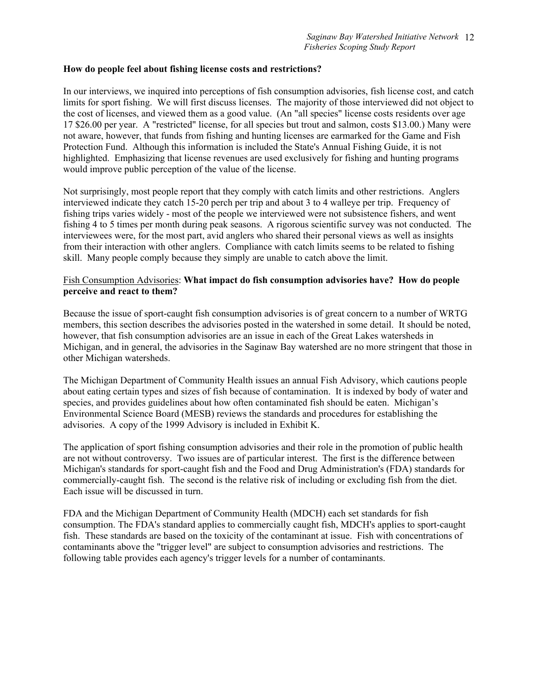#### **How do people feel about fishing license costs and restrictions?**

In our interviews, we inquired into perceptions of fish consumption advisories, fish license cost, and catch limits for sport fishing. We will first discuss licenses. The majority of those interviewed did not object to the cost of licenses, and viewed them as a good value. (An "all species" license costs residents over age 17 \$26.00 per year. A "restricted" license, for all species but trout and salmon, costs \$13.00.) Many were not aware, however, that funds from fishing and hunting licenses are earmarked for the Game and Fish Protection Fund. Although this information is included the State's Annual Fishing Guide, it is not highlighted. Emphasizing that license revenues are used exclusively for fishing and hunting programs would improve public perception of the value of the license.

Not surprisingly, most people report that they comply with catch limits and other restrictions. Anglers interviewed indicate they catch 15-20 perch per trip and about 3 to 4 walleye per trip. Frequency of fishing trips varies widely - most of the people we interviewed were not subsistence fishers, and went fishing 4 to 5 times per month during peak seasons. A rigorous scientific survey was not conducted. The interviewees were, for the most part, avid anglers who shared their personal views as well as insights from their interaction with other anglers. Compliance with catch limits seems to be related to fishing skill. Many people comply because they simply are unable to catch above the limit.

### Fish Consumption Advisories: **What impact do fish consumption advisories have? How do people perceive and react to them?**

Because the issue of sport-caught fish consumption advisories is of great concern to a number of WRTG members, this section describes the advisories posted in the watershed in some detail. It should be noted, however, that fish consumption advisories are an issue in each of the Great Lakes watersheds in Michigan, and in general, the advisories in the Saginaw Bay watershed are no more stringent that those in other Michigan watersheds.

The Michigan Department of Community Health issues an annual Fish Advisory, which cautions people about eating certain types and sizes of fish because of contamination. It is indexed by body of water and species, and provides guidelines about how often contaminated fish should be eaten. Michigan's Environmental Science Board (MESB) reviews the standards and procedures for establishing the advisories. A copy of the 1999 Advisory is included in Exhibit K.

The application of sport fishing consumption advisories and their role in the promotion of public health are not without controversy. Two issues are of particular interest. The first is the difference between Michigan's standards for sport-caught fish and the Food and Drug Administration's (FDA) standards for commercially-caught fish. The second is the relative risk of including or excluding fish from the diet. Each issue will be discussed in turn.

FDA and the Michigan Department of Community Health (MDCH) each set standards for fish consumption. The FDA's standard applies to commercially caught fish, MDCH's applies to sport-caught fish. These standards are based on the toxicity of the contaminant at issue. Fish with concentrations of contaminants above the "trigger level" are subject to consumption advisories and restrictions. The following table provides each agency's trigger levels for a number of contaminants.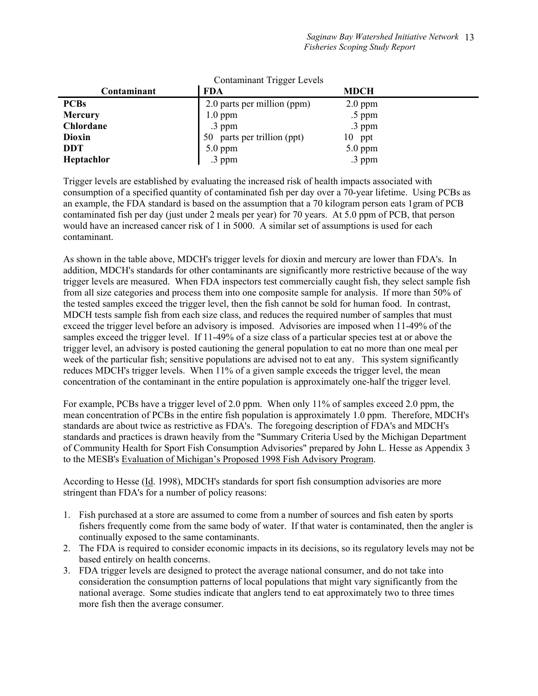| <b>Contaminant Trigger Levels</b> |                                |             |  |  |  |  |
|-----------------------------------|--------------------------------|-------------|--|--|--|--|
| Contaminant                       | <b>FDA</b>                     | <b>MDCH</b> |  |  |  |  |
| <b>PCBs</b>                       | 2.0 parts per million (ppm)    | $2.0$ ppm   |  |  |  |  |
| <b>Mercury</b>                    | $1.0$ ppm                      | $.5$ ppm    |  |  |  |  |
| Chlordane                         | .3 ppm                         | .3 ppm      |  |  |  |  |
| <b>Dioxin</b>                     | parts per trillion (ppt)<br>50 | 10 ppt      |  |  |  |  |
| <b>DDT</b>                        | 5.0 ppm                        | $5.0$ ppm   |  |  |  |  |
| Heptachlor                        | .3 ppm                         | .3 ppm      |  |  |  |  |

Trigger levels are established by evaluating the increased risk of health impacts associated with consumption of a specified quantity of contaminated fish per day over a 70-year lifetime. Using PCBs as an example, the FDA standard is based on the assumption that a 70 kilogram person eats 1gram of PCB contaminated fish per day (just under 2 meals per year) for 70 years. At 5.0 ppm of PCB, that person would have an increased cancer risk of 1 in 5000. A similar set of assumptions is used for each contaminant.

As shown in the table above, MDCH's trigger levels for dioxin and mercury are lower than FDA's. In addition, MDCH's standards for other contaminants are significantly more restrictive because of the way trigger levels are measured. When FDA inspectors test commercially caught fish, they select sample fish from all size categories and process them into one composite sample for analysis. If more than 50% of the tested samples exceed the trigger level, then the fish cannot be sold for human food. In contrast, MDCH tests sample fish from each size class, and reduces the required number of samples that must exceed the trigger level before an advisory is imposed. Advisories are imposed when 11-49% of the samples exceed the trigger level. If 11-49% of a size class of a particular species test at or above the trigger level, an advisory is posted cautioning the general population to eat no more than one meal per week of the particular fish; sensitive populations are advised not to eat any. This system significantly reduces MDCH's trigger levels. When 11% of a given sample exceeds the trigger level, the mean concentration of the contaminant in the entire population is approximately one-half the trigger level.

For example, PCBs have a trigger level of 2.0 ppm. When only 11% of samples exceed 2.0 ppm, the mean concentration of PCBs in the entire fish population is approximately 1.0 ppm. Therefore, MDCH's standards are about twice as restrictive as FDA's. The foregoing description of FDA's and MDCH's standards and practices is drawn heavily from the "Summary Criteria Used by the Michigan Department of Community Health for Sport Fish Consumption Advisories" prepared by John L. Hesse as Appendix 3 to the MESB's Evaluation of Michigan's Proposed 1998 Fish Advisory Program.

According to Hesse (Id. 1998), MDCH's standards for sport fish consumption advisories are more stringent than FDA's for a number of policy reasons:

- 1. Fish purchased at a store are assumed to come from a number of sources and fish eaten by sports fishers frequently come from the same body of water. If that water is contaminated, then the angler is continually exposed to the same contaminants.
- 2. The FDA is required to consider economic impacts in its decisions, so its regulatory levels may not be based entirely on health concerns.
- 3. FDA trigger levels are designed to protect the average national consumer, and do not take into consideration the consumption patterns of local populations that might vary significantly from the national average. Some studies indicate that anglers tend to eat approximately two to three times more fish then the average consumer.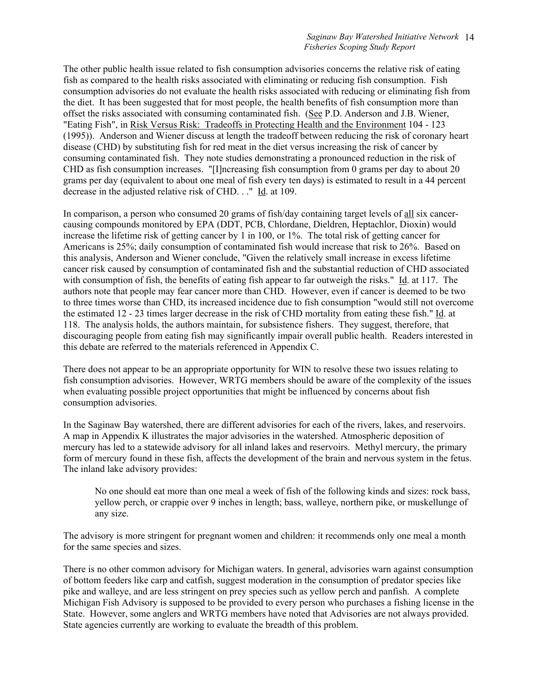The other public health issue related to fish consumption advisories concerns the relative risk of eating fish as compared to the health risks associated with eliminating or reducing fish consumption. Fish consumption advisories do not evaluate the health risks associated with reducing or eliminating fish from the diet. It has been suggested that for most people, the health benefits of fish consumption more than offset the risks associated with consuming contaminated fish. (See P.D. Anderson and J.B. Wiener, "Eating Fish", in Risk Versus Risk: Tradeoffs in Protecting Health and the Environment 104 - 123 (1995)). Anderson and Wiener discuss at length the tradeoff between reducing the risk of coronary heart disease (CHD) by substituting fish for red meat in the diet versus increasing the risk of cancer by consuming contaminated fish. They note studies demonstrating a pronounced reduction in the risk of CHD as fish consumption increases. "[I]ncreasing fish consumption from 0 grams per day to about 20 grams per day (equivalent to about one meal of fish every ten days) is estimated to result in a 44 percent decrease in the adjusted relative risk of CHD. . ." Id. at 109.

In comparison, a person who consumed 20 grams of fish/day containing target levels of all six cancercausing compounds monitored by EPA (DDT, PCB, Chlordane, Dieldren, Heptachlor, Dioxin) would increase the lifetime risk of getting cancer by 1 in 100, or 1%. The total risk of getting cancer for Americans is 25%; daily consumption of contaminated fish would increase that risk to 26%. Based on this analysis, Anderson and Wiener conclude, "Given the relatively small increase in excess lifetime cancer risk caused by consumption of contaminated fish and the substantial reduction of CHD associated with consumption of fish, the benefits of eating fish appear to far outweigh the risks." Id. at 117. The authors note that people may fear cancer more than CHD. However, even if cancer is deemed to be two to three times worse than CHD, its increased incidence due to fish consumption "would still not overcome the estimated 12 - 23 times larger decrease in the risk of CHD mortality from eating these fish." Id. at 118. The analysis holds, the authors maintain, for subsistence fishers. They suggest, therefore, that discouraging people from eating fish may significantly impair overall public health. Readers interested in this debate are referred to the materials referenced in Appendix C.

There does not appear to be an appropriate opportunity for WIN to resolve these two issues relating to fish consumption advisories. However, WRTG members should be aware of the complexity of the issues when evaluating possible project opportunities that might be influenced by concerns about fish consumption advisories.

In the Saginaw Bay watershed, there are different advisories for each of the rivers, lakes, and reservoirs. A map in Appendix K illustrates the major advisories in the watershed. Atmospheric deposition of mercury has led to a statewide advisory for all inland lakes and reservoirs. Methyl mercury, the primary form of mercury found in these fish, affects the development of the brain and nervous system in the fetus. The inland lake advisory provides:

No one should eat more than one meal a week of fish of the following kinds and sizes: rock bass, yellow perch, or crappie over 9 inches in length; bass, walleye, northern pike, or muskellunge of any size.

The advisory is more stringent for pregnant women and children: it recommends only one meal a month for the same species and sizes.

There is no other common advisory for Michigan waters. In general, advisories warn against consumption of bottom feeders like carp and catfish, suggest moderation in the consumption of predator species like pike and walleye, and are less stringent on prey species such as yellow perch and panfish. A complete Michigan Fish Advisory is supposed to be provided to every person who purchases a fishing license in the State. However, some anglers and WRTG members have noted that Advisories are not always provided. State agencies currently are working to evaluate the breadth of this problem.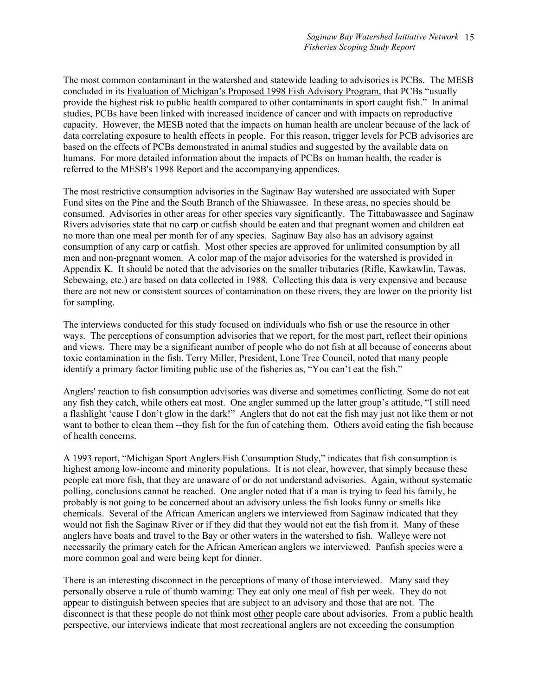The most common contaminant in the watershed and statewide leading to advisories is PCBs. The MESB concluded in its Evaluation of Michigan's Proposed 1998 Fish Advisory Program, that PCBs "usually provide the highest risk to public health compared to other contaminants in sport caught fish." In animal studies, PCBs have been linked with increased incidence of cancer and with impacts on reproductive capacity. However, the MESB noted that the impacts on human health are unclear because of the lack of data correlating exposure to health effects in people. For this reason, trigger levels for PCB advisories are based on the effects of PCBs demonstrated in animal studies and suggested by the available data on humans. For more detailed information about the impacts of PCBs on human health, the reader is referred to the MESB's 1998 Report and the accompanying appendices.

The most restrictive consumption advisories in the Saginaw Bay watershed are associated with Super Fund sites on the Pine and the South Branch of the Shiawassee. In these areas, no species should be consumed. Advisories in other areas for other species vary significantly. The Tittabawassee and Saginaw Rivers advisories state that no carp or catfish should be eaten and that pregnant women and children eat no more than one meal per month for of any species. Saginaw Bay also has an advisory against consumption of any carp or catfish. Most other species are approved for unlimited consumption by all men and non-pregnant women. A color map of the major advisories for the watershed is provided in Appendix K. It should be noted that the advisories on the smaller tributaries (Rifle, Kawkawlin, Tawas, Sebewaing, etc.) are based on data collected in 1988. Collecting this data is very expensive and because there are not new or consistent sources of contamination on these rivers, they are lower on the priority list for sampling.

The interviews conducted for this study focused on individuals who fish or use the resource in other ways. The perceptions of consumption advisories that we report, for the most part, reflect their opinions and views. There may be a significant number of people who do not fish at all because of concerns about toxic contamination in the fish. Terry Miller, President, Lone Tree Council, noted that many people identify a primary factor limiting public use of the fisheries as, "You can't eat the fish."

Anglers' reaction to fish consumption advisories was diverse and sometimes conflicting. Some do not eat any fish they catch, while others eat most. One angler summed up the latter group's attitude, "I still need a flashlight 'cause I don't glow in the dark!" Anglers that do not eat the fish may just not like them or not want to bother to clean them --they fish for the fun of catching them. Others avoid eating the fish because of health concerns.

A 1993 report, "Michigan Sport Anglers Fish Consumption Study," indicates that fish consumption is highest among low-income and minority populations. It is not clear, however, that simply because these people eat more fish, that they are unaware of or do not understand advisories. Again, without systematic polling, conclusions cannot be reached. One angler noted that if a man is trying to feed his family, he probably is not going to be concerned about an advisory unless the fish looks funny or smells like chemicals. Several of the African American anglers we interviewed from Saginaw indicated that they would not fish the Saginaw River or if they did that they would not eat the fish from it. Many of these anglers have boats and travel to the Bay or other waters in the watershed to fish. Walleye were not necessarily the primary catch for the African American anglers we interviewed. Panfish species were a more common goal and were being kept for dinner.

There is an interesting disconnect in the perceptions of many of those interviewed. Many said they personally observe a rule of thumb warning: They eat only one meal of fish per week. They do not appear to distinguish between species that are subject to an advisory and those that are not. The disconnect is that these people do not think most other people care about advisories. From a public health perspective, our interviews indicate that most recreational anglers are not exceeding the consumption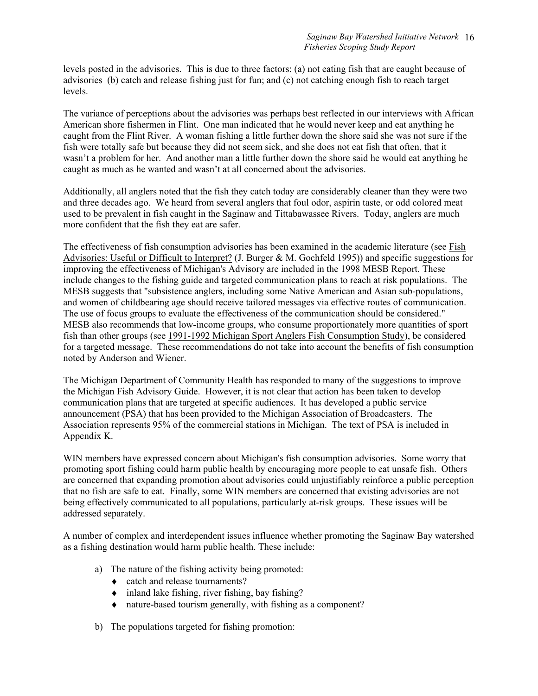levels posted in the advisories. This is due to three factors: (a) not eating fish that are caught because of advisories (b) catch and release fishing just for fun; and (c) not catching enough fish to reach target levels.

The variance of perceptions about the advisories was perhaps best reflected in our interviews with African American shore fishermen in Flint. One man indicated that he would never keep and eat anything he caught from the Flint River. A woman fishing a little further down the shore said she was not sure if the fish were totally safe but because they did not seem sick, and she does not eat fish that often, that it wasn't a problem for her. And another man a little further down the shore said he would eat anything he caught as much as he wanted and wasn't at all concerned about the advisories.

Additionally, all anglers noted that the fish they catch today are considerably cleaner than they were two and three decades ago. We heard from several anglers that foul odor, aspirin taste, or odd colored meat used to be prevalent in fish caught in the Saginaw and Tittabawassee Rivers. Today, anglers are much more confident that the fish they eat are safer.

The effectiveness of fish consumption advisories has been examined in the academic literature (see Fish Advisories: Useful or Difficult to Interpret? (J. Burger & M. Gochfeld 1995)) and specific suggestions for improving the effectiveness of Michigan's Advisory are included in the 1998 MESB Report. These include changes to the fishing guide and targeted communication plans to reach at risk populations. The MESB suggests that "subsistence anglers, including some Native American and Asian sub-populations, and women of childbearing age should receive tailored messages via effective routes of communication. The use of focus groups to evaluate the effectiveness of the communication should be considered." MESB also recommends that low-income groups, who consume proportionately more quantities of sport fish than other groups (see 1991-1992 Michigan Sport Anglers Fish Consumption Study), be considered for a targeted message. These recommendations do not take into account the benefits of fish consumption noted by Anderson and Wiener.

The Michigan Department of Community Health has responded to many of the suggestions to improve the Michigan Fish Advisory Guide. However, it is not clear that action has been taken to develop communication plans that are targeted at specific audiences. It has developed a public service announcement (PSA) that has been provided to the Michigan Association of Broadcasters. The Association represents 95% of the commercial stations in Michigan. The text of PSA is included in Appendix K.

WIN members have expressed concern about Michigan's fish consumption advisories. Some worry that promoting sport fishing could harm public health by encouraging more people to eat unsafe fish. Others are concerned that expanding promotion about advisories could unjustifiably reinforce a public perception that no fish are safe to eat. Finally, some WIN members are concerned that existing advisories are not being effectively communicated to all populations, particularly at-risk groups. These issues will be addressed separately.

A number of complex and interdependent issues influence whether promoting the Saginaw Bay watershed as a fishing destination would harm public health. These include:

- a) The nature of the fishing activity being promoted:
	- ♦ catch and release tournaments?
	- $\bullet$  inland lake fishing, river fishing, bay fishing?
	- ♦ nature-based tourism generally, with fishing as a component?
- b) The populations targeted for fishing promotion: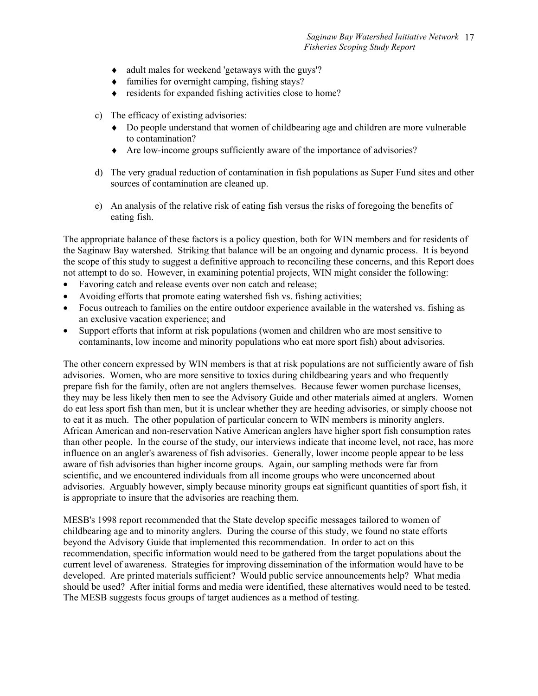- ♦ adult males for weekend 'getaways with the guys'?
- $\triangleleft$  families for overnight camping, fishing stays?
- $\bullet$  residents for expanded fishing activities close to home?
- c) The efficacy of existing advisories:
	- ♦ Do people understand that women of childbearing age and children are more vulnerable to contamination?
	- ♦ Are low-income groups sufficiently aware of the importance of advisories?
- d) The very gradual reduction of contamination in fish populations as Super Fund sites and other sources of contamination are cleaned up.
- e) An analysis of the relative risk of eating fish versus the risks of foregoing the benefits of eating fish.

The appropriate balance of these factors is a policy question, both for WIN members and for residents of the Saginaw Bay watershed. Striking that balance will be an ongoing and dynamic process. It is beyond the scope of this study to suggest a definitive approach to reconciling these concerns, and this Report does not attempt to do so. However, in examining potential projects, WIN might consider the following:

- Favoring catch and release events over non catch and release;
- Avoiding efforts that promote eating watershed fish vs. fishing activities;
- Focus outreach to families on the entire outdoor experience available in the watershed vs. fishing as an exclusive vacation experience; and
- Support efforts that inform at risk populations (women and children who are most sensitive to contaminants, low income and minority populations who eat more sport fish) about advisories.

The other concern expressed by WIN members is that at risk populations are not sufficiently aware of fish advisories. Women, who are more sensitive to toxics during childbearing years and who frequently prepare fish for the family, often are not anglers themselves. Because fewer women purchase licenses, they may be less likely then men to see the Advisory Guide and other materials aimed at anglers. Women do eat less sport fish than men, but it is unclear whether they are heeding advisories, or simply choose not to eat it as much. The other population of particular concern to WIN members is minority anglers. African American and non-reservation Native American anglers have higher sport fish consumption rates than other people. In the course of the study, our interviews indicate that income level, not race, has more influence on an angler's awareness of fish advisories. Generally, lower income people appear to be less aware of fish advisories than higher income groups. Again, our sampling methods were far from scientific, and we encountered individuals from all income groups who were unconcerned about advisories. Arguably however, simply because minority groups eat significant quantities of sport fish, it is appropriate to insure that the advisories are reaching them.

MESB's 1998 report recommended that the State develop specific messages tailored to women of childbearing age and to minority anglers. During the course of this study, we found no state efforts beyond the Advisory Guide that implemented this recommendation. In order to act on this recommendation, specific information would need to be gathered from the target populations about the current level of awareness. Strategies for improving dissemination of the information would have to be developed. Are printed materials sufficient? Would public service announcements help? What media should be used? After initial forms and media were identified, these alternatives would need to be tested. The MESB suggests focus groups of target audiences as a method of testing.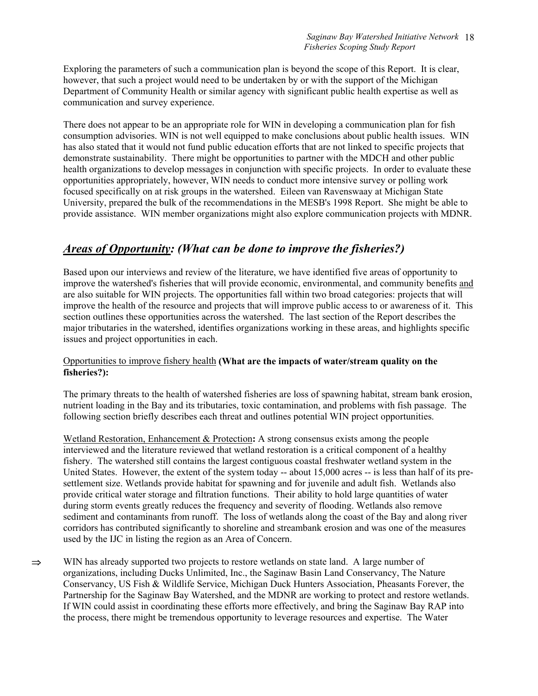Exploring the parameters of such a communication plan is beyond the scope of this Report. It is clear, however, that such a project would need to be undertaken by or with the support of the Michigan Department of Community Health or similar agency with significant public health expertise as well as communication and survey experience.

There does not appear to be an appropriate role for WIN in developing a communication plan for fish consumption advisories. WIN is not well equipped to make conclusions about public health issues. WIN has also stated that it would not fund public education efforts that are not linked to specific projects that demonstrate sustainability. There might be opportunities to partner with the MDCH and other public health organizations to develop messages in conjunction with specific projects. In order to evaluate these opportunities appropriately, however, WIN needs to conduct more intensive survey or polling work focused specifically on at risk groups in the watershed. Eileen van Ravenswaay at Michigan State University, prepared the bulk of the recommendations in the MESB's 1998 Report. She might be able to provide assistance. WIN member organizations might also explore communication projects with MDNR.

# *Areas of Opportunity: (What can be done to improve the fisheries?)*

Based upon our interviews and review of the literature, we have identified five areas of opportunity to improve the watershed's fisheries that will provide economic, environmental, and community benefits and are also suitable for WIN projects. The opportunities fall within two broad categories: projects that will improve the health of the resource and projects that will improve public access to or awareness of it. This section outlines these opportunities across the watershed. The last section of the Report describes the major tributaries in the watershed, identifies organizations working in these areas, and highlights specific issues and project opportunities in each.

### Opportunities to improve fishery health **(What are the impacts of water/stream quality on the fisheries?):**

The primary threats to the health of watershed fisheries are loss of spawning habitat, stream bank erosion, nutrient loading in the Bay and its tributaries, toxic contamination, and problems with fish passage. The following section briefly describes each threat and outlines potential WIN project opportunities.

Wetland Restoration, Enhancement & Protection**:** A strong consensus exists among the people interviewed and the literature reviewed that wetland restoration is a critical component of a healthy fishery. The watershed still contains the largest contiguous coastal freshwater wetland system in the United States. However, the extent of the system today -- about 15,000 acres -- is less than half of its presettlement size. Wetlands provide habitat for spawning and for juvenile and adult fish. Wetlands also provide critical water storage and filtration functions. Their ability to hold large quantities of water during storm events greatly reduces the frequency and severity of flooding. Wetlands also remove sediment and contaminants from runoff. The loss of wetlands along the coast of the Bay and along river corridors has contributed significantly to shoreline and streambank erosion and was one of the measures used by the IJC in listing the region as an Area of Concern.

⇒ WIN has already supported two projects to restore wetlands on state land. A large number of organizations, including Ducks Unlimited, Inc., the Saginaw Basin Land Conservancy, The Nature Conservancy, US Fish & Wildlife Service, Michigan Duck Hunters Association, Pheasants Forever, the Partnership for the Saginaw Bay Watershed, and the MDNR are working to protect and restore wetlands. If WIN could assist in coordinating these efforts more effectively, and bring the Saginaw Bay RAP into the process, there might be tremendous opportunity to leverage resources and expertise. The Water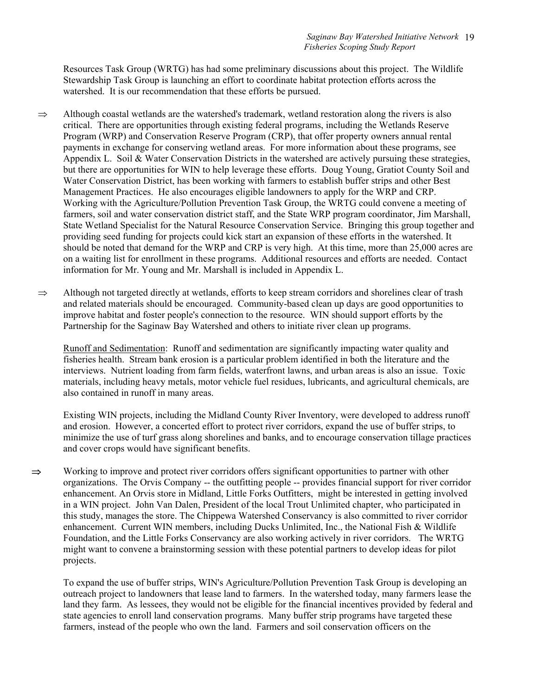Resources Task Group (WRTG) has had some preliminary discussions about this project. The Wildlife Stewardship Task Group is launching an effort to coordinate habitat protection efforts across the watershed. It is our recommendation that these efforts be pursued.

- $\Rightarrow$  Although coastal wetlands are the watershed's trademark, wetland restoration along the rivers is also critical. There are opportunities through existing federal programs, including the Wetlands Reserve Program (WRP) and Conservation Reserve Program (CRP), that offer property owners annual rental payments in exchange for conserving wetland areas. For more information about these programs, see Appendix L. Soil & Water Conservation Districts in the watershed are actively pursuing these strategies, but there are opportunities for WIN to help leverage these efforts. Doug Young, Gratiot County Soil and Water Conservation District, has been working with farmers to establish buffer strips and other Best Management Practices. He also encourages eligible landowners to apply for the WRP and CRP. Working with the Agriculture/Pollution Prevention Task Group, the WRTG could convene a meeting of farmers, soil and water conservation district staff, and the State WRP program coordinator, Jim Marshall, State Wetland Specialist for the Natural Resource Conservation Service. Bringing this group together and providing seed funding for projects could kick start an expansion of these efforts in the watershed. It should be noted that demand for the WRP and CRP is very high. At this time, more than 25,000 acres are on a waiting list for enrollment in these programs. Additional resources and efforts are needed. Contact information for Mr. Young and Mr. Marshall is included in Appendix L.
- ⇒ Although not targeted directly at wetlands, efforts to keep stream corridors and shorelines clear of trash and related materials should be encouraged. Community-based clean up days are good opportunities to improve habitat and foster people's connection to the resource. WIN should support efforts by the Partnership for the Saginaw Bay Watershed and others to initiate river clean up programs.

Runoff and Sedimentation: Runoff and sedimentation are significantly impacting water quality and fisheries health. Stream bank erosion is a particular problem identified in both the literature and the interviews. Nutrient loading from farm fields, waterfront lawns, and urban areas is also an issue. Toxic materials, including heavy metals, motor vehicle fuel residues, lubricants, and agricultural chemicals, are also contained in runoff in many areas.

Existing WIN projects, including the Midland County River Inventory, were developed to address runoff and erosion. However, a concerted effort to protect river corridors, expand the use of buffer strips, to minimize the use of turf grass along shorelines and banks, and to encourage conservation tillage practices and cover crops would have significant benefits.

 $\Rightarrow$  Working to improve and protect river corridors offers significant opportunities to partner with other organizations. The Orvis Company -- the outfitting people -- provides financial support for river corridor enhancement. An Orvis store in Midland, Little Forks Outfitters, might be interested in getting involved in a WIN project. John Van Dalen, President of the local Trout Unlimited chapter, who participated in this study, manages the store. The Chippewa Watershed Conservancy is also committed to river corridor enhancement. Current WIN members, including Ducks Unlimited, Inc., the National Fish & Wildlife Foundation, and the Little Forks Conservancy are also working actively in river corridors. The WRTG might want to convene a brainstorming session with these potential partners to develop ideas for pilot projects.

To expand the use of buffer strips, WIN's Agriculture/Pollution Prevention Task Group is developing an outreach project to landowners that lease land to farmers. In the watershed today, many farmers lease the land they farm. As lessees, they would not be eligible for the financial incentives provided by federal and state agencies to enroll land conservation programs. Many buffer strip programs have targeted these farmers, instead of the people who own the land. Farmers and soil conservation officers on the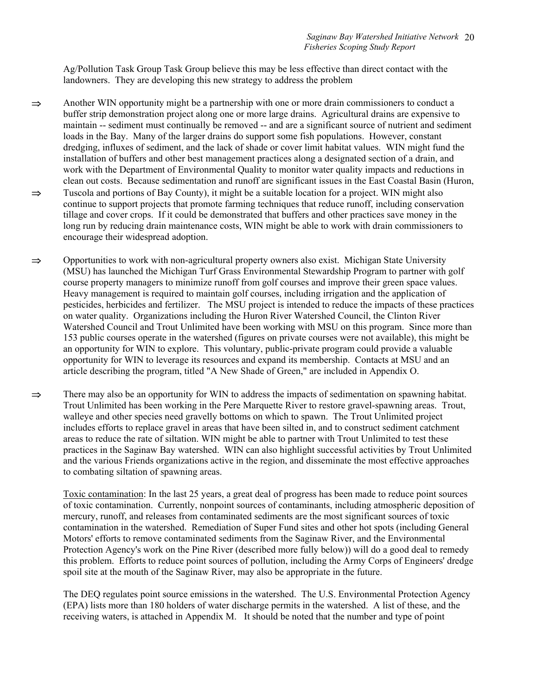Ag/Pollution Task Group Task Group believe this may be less effective than direct contact with the landowners. They are developing this new strategy to address the problem

- ⇒ Another WIN opportunity might be a partnership with one or more drain commissioners to conduct a buffer strip demonstration project along one or more large drains. Agricultural drains are expensive to maintain -- sediment must continually be removed -- and are a significant source of nutrient and sediment loads in the Bay. Many of the larger drains do support some fish populations. However, constant dredging, influxes of sediment, and the lack of shade or cover limit habitat values. WIN might fund the installation of buffers and other best management practices along a designated section of a drain, and work with the Department of Environmental Quality to monitor water quality impacts and reductions in clean out costs. Because sedimentation and runoff are significant issues in the East Coastal Basin (Huron, ⇒ Tuscola and portions of Bay County), it might be a suitable location for a project. WIN might also continue to support projects that promote farming techniques that reduce runoff, including conservation tillage and cover crops. If it could be demonstrated that buffers and other practices save money in the long run by reducing drain maintenance costs, WIN might be able to work with drain commissioners to encourage their widespread adoption.
- ⇒ Opportunities to work with non-agricultural property owners also exist. Michigan State University (MSU) has launched the Michigan Turf Grass Environmental Stewardship Program to partner with golf course property managers to minimize runoff from golf courses and improve their green space values. Heavy management is required to maintain golf courses, including irrigation and the application of pesticides, herbicides and fertilizer. The MSU project is intended to reduce the impacts of these practices on water quality. Organizations including the Huron River Watershed Council, the Clinton River Watershed Council and Trout Unlimited have been working with MSU on this program. Since more than 153 public courses operate in the watershed (figures on private courses were not available), this might be an opportunity for WIN to explore. This voluntary, public-private program could provide a valuable opportunity for WIN to leverage its resources and expand its membership. Contacts at MSU and an article describing the program, titled "A New Shade of Green," are included in Appendix O.
- ⇒ There may also be an opportunity for WIN to address the impacts of sedimentation on spawning habitat. Trout Unlimited has been working in the Pere Marquette River to restore gravel-spawning areas. Trout, walleye and other species need gravelly bottoms on which to spawn. The Trout Unlimited project includes efforts to replace gravel in areas that have been silted in, and to construct sediment catchment areas to reduce the rate of siltation. WIN might be able to partner with Trout Unlimited to test these practices in the Saginaw Bay watershed. WIN can also highlight successful activities by Trout Unlimited and the various Friends organizations active in the region, and disseminate the most effective approaches to combating siltation of spawning areas.

Toxic contamination: In the last 25 years, a great deal of progress has been made to reduce point sources of toxic contamination. Currently, nonpoint sources of contaminants, including atmospheric deposition of mercury, runoff, and releases from contaminated sediments are the most significant sources of toxic contamination in the watershed. Remediation of Super Fund sites and other hot spots (including General Motors' efforts to remove contaminated sediments from the Saginaw River, and the Environmental Protection Agency's work on the Pine River (described more fully below)) will do a good deal to remedy this problem. Efforts to reduce point sources of pollution, including the Army Corps of Engineers' dredge spoil site at the mouth of the Saginaw River, may also be appropriate in the future.

The DEQ regulates point source emissions in the watershed. The U.S. Environmental Protection Agency (EPA) lists more than 180 holders of water discharge permits in the watershed. A list of these, and the receiving waters, is attached in Appendix M. It should be noted that the number and type of point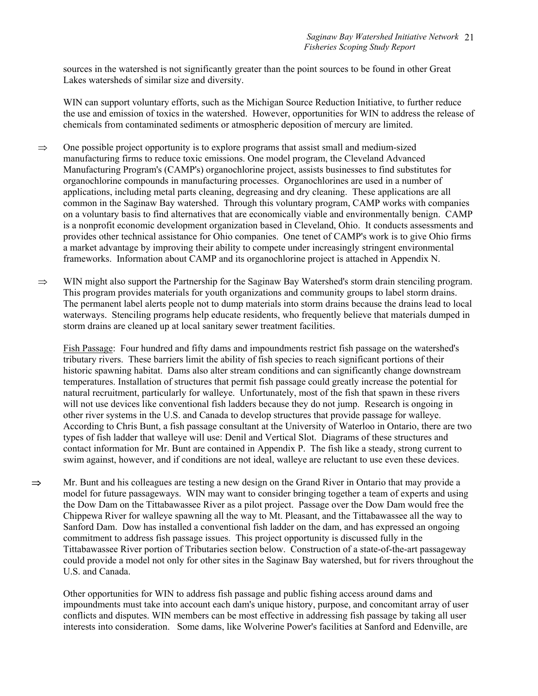sources in the watershed is not significantly greater than the point sources to be found in other Great Lakes watersheds of similar size and diversity.

WIN can support voluntary efforts, such as the Michigan Source Reduction Initiative, to further reduce the use and emission of toxics in the watershed. However, opportunities for WIN to address the release of chemicals from contaminated sediments or atmospheric deposition of mercury are limited.

- $\Rightarrow$  One possible project opportunity is to explore programs that assist small and medium-sized manufacturing firms to reduce toxic emissions. One model program, the Cleveland Advanced Manufacturing Program's (CAMP's) organochlorine project, assists businesses to find substitutes for organochlorine compounds in manufacturing processes. Organochlorines are used in a number of applications, including metal parts cleaning, degreasing and dry cleaning. These applications are all common in the Saginaw Bay watershed. Through this voluntary program, CAMP works with companies on a voluntary basis to find alternatives that are economically viable and environmentally benign. CAMP is a nonprofit economic development organization based in Cleveland, Ohio. It conducts assessments and provides other technical assistance for Ohio companies. One tenet of CAMP's work is to give Ohio firms a market advantage by improving their ability to compete under increasingly stringent environmental frameworks. Information about CAMP and its organochlorine project is attached in Appendix N.
- $\Rightarrow$  WIN might also support the Partnership for the Saginaw Bay Watershed's storm drain stenciling program. This program provides materials for youth organizations and community groups to label storm drains. The permanent label alerts people not to dump materials into storm drains because the drains lead to local waterways. Stenciling programs help educate residents, who frequently believe that materials dumped in storm drains are cleaned up at local sanitary sewer treatment facilities.

Fish Passage: Four hundred and fifty dams and impoundments restrict fish passage on the watershed's tributary rivers. These barriers limit the ability of fish species to reach significant portions of their historic spawning habitat. Dams also alter stream conditions and can significantly change downstream temperatures. Installation of structures that permit fish passage could greatly increase the potential for natural recruitment, particularly for walleye. Unfortunately, most of the fish that spawn in these rivers will not use devices like conventional fish ladders because they do not jump. Research is ongoing in other river systems in the U.S. and Canada to develop structures that provide passage for walleye. According to Chris Bunt, a fish passage consultant at the University of Waterloo in Ontario, there are two types of fish ladder that walleye will use: Denil and Vertical Slot. Diagrams of these structures and contact information for Mr. Bunt are contained in Appendix P. The fish like a steady, strong current to swim against, however, and if conditions are not ideal, walleye are reluctant to use even these devices.

⇒ Mr. Bunt and his colleagues are testing a new design on the Grand River in Ontario that may provide a model for future passageways. WIN may want to consider bringing together a team of experts and using the Dow Dam on the Tittabawassee River as a pilot project. Passage over the Dow Dam would free the Chippewa River for walleye spawning all the way to Mt. Pleasant, and the Tittabawassee all the way to Sanford Dam. Dow has installed a conventional fish ladder on the dam, and has expressed an ongoing commitment to address fish passage issues. This project opportunity is discussed fully in the Tittabawassee River portion of Tributaries section below. Construction of a state-of-the-art passageway could provide a model not only for other sites in the Saginaw Bay watershed, but for rivers throughout the U.S. and Canada.

Other opportunities for WIN to address fish passage and public fishing access around dams and impoundments must take into account each dam's unique history, purpose, and concomitant array of user conflicts and disputes. WIN members can be most effective in addressing fish passage by taking all user interests into consideration. Some dams, like Wolverine Power's facilities at Sanford and Edenville, are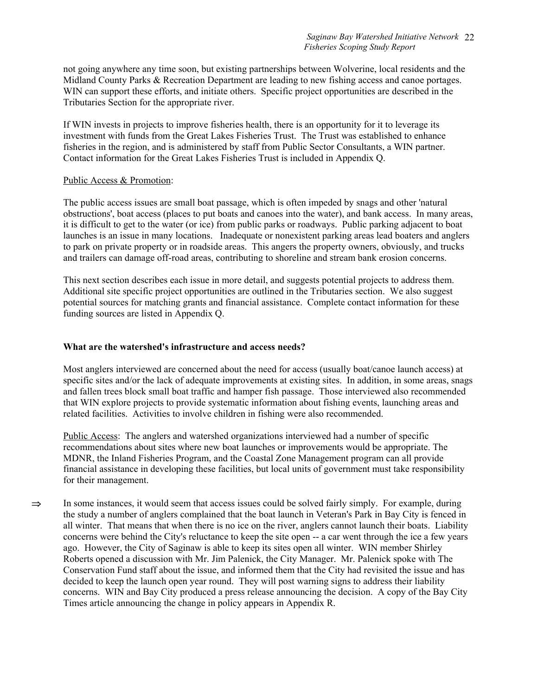not going anywhere any time soon, but existing partnerships between Wolverine, local residents and the Midland County Parks & Recreation Department are leading to new fishing access and canoe portages. WIN can support these efforts, and initiate others. Specific project opportunities are described in the Tributaries Section for the appropriate river.

If WIN invests in projects to improve fisheries health, there is an opportunity for it to leverage its investment with funds from the Great Lakes Fisheries Trust. The Trust was established to enhance fisheries in the region, and is administered by staff from Public Sector Consultants, a WIN partner. Contact information for the Great Lakes Fisheries Trust is included in Appendix Q.

#### Public Access & Promotion:

The public access issues are small boat passage, which is often impeded by snags and other 'natural obstructions', boat access (places to put boats and canoes into the water), and bank access. In many areas, it is difficult to get to the water (or ice) from public parks or roadways. Public parking adjacent to boat launches is an issue in many locations. Inadequate or nonexistent parking areas lead boaters and anglers to park on private property or in roadside areas. This angers the property owners, obviously, and trucks and trailers can damage off-road areas, contributing to shoreline and stream bank erosion concerns.

This next section describes each issue in more detail, and suggests potential projects to address them. Additional site specific project opportunities are outlined in the Tributaries section. We also suggest potential sources for matching grants and financial assistance. Complete contact information for these funding sources are listed in Appendix Q.

#### **What are the watershed's infrastructure and access needs?**

Most anglers interviewed are concerned about the need for access (usually boat/canoe launch access) at specific sites and/or the lack of adequate improvements at existing sites. In addition, in some areas, snags and fallen trees block small boat traffic and hamper fish passage. Those interviewed also recommended that WIN explore projects to provide systematic information about fishing events, launching areas and related facilities. Activities to involve children in fishing were also recommended.

Public Access: The anglers and watershed organizations interviewed had a number of specific recommendations about sites where new boat launches or improvements would be appropriate. The MDNR, the Inland Fisheries Program, and the Coastal Zone Management program can all provide financial assistance in developing these facilities, but local units of government must take responsibility for their management.

 $\Rightarrow$  In some instances, it would seem that access issues could be solved fairly simply. For example, during the study a number of anglers complained that the boat launch in Veteran's Park in Bay City is fenced in all winter. That means that when there is no ice on the river, anglers cannot launch their boats. Liability concerns were behind the City's reluctance to keep the site open -- a car went through the ice a few years ago. However, the City of Saginaw is able to keep its sites open all winter. WIN member Shirley Roberts opened a discussion with Mr. Jim Palenick, the City Manager. Mr. Palenick spoke with The Conservation Fund staff about the issue, and informed them that the City had revisited the issue and has decided to keep the launch open year round. They will post warning signs to address their liability concerns. WIN and Bay City produced a press release announcing the decision. A copy of the Bay City Times article announcing the change in policy appears in Appendix R.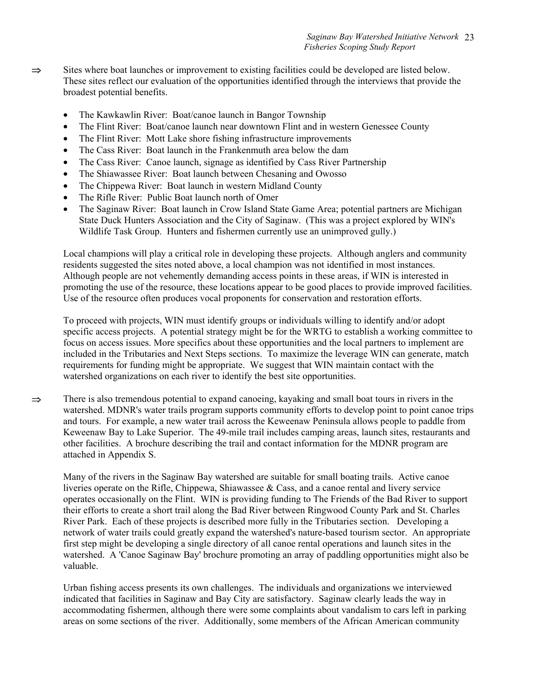- ⇒ Sites where boat launches or improvement to existing facilities could be developed are listed below. These sites reflect our evaluation of the opportunities identified through the interviews that provide the broadest potential benefits.
	- The Kawkawlin River: Boat/canoe launch in Bangor Township
	- The Flint River: Boat/canoe launch near downtown Flint and in western Genessee County
	- The Flint River: Mott Lake shore fishing infrastructure improvements
	- The Cass River: Boat launch in the Frankenmuth area below the dam
	- The Cass River: Canoe launch, signage as identified by Cass River Partnership
	- The Shiawassee River: Boat launch between Chesaning and Owosso
	- The Chippewa River: Boat launch in western Midland County
	- The Rifle River: Public Boat launch north of Omer
	- The Saginaw River: Boat launch in Crow Island State Game Area; potential partners are Michigan State Duck Hunters Association and the City of Saginaw. (This was a project explored by WIN's Wildlife Task Group. Hunters and fishermen currently use an unimproved gully.)

Local champions will play a critical role in developing these projects. Although anglers and community residents suggested the sites noted above, a local champion was not identified in most instances. Although people are not vehemently demanding access points in these areas, if WIN is interested in promoting the use of the resource, these locations appear to be good places to provide improved facilities. Use of the resource often produces vocal proponents for conservation and restoration efforts.

To proceed with projects, WIN must identify groups or individuals willing to identify and/or adopt specific access projects. A potential strategy might be for the WRTG to establish a working committee to focus on access issues. More specifics about these opportunities and the local partners to implement are included in the Tributaries and Next Steps sections. To maximize the leverage WIN can generate, match requirements for funding might be appropriate. We suggest that WIN maintain contact with the watershed organizations on each river to identify the best site opportunities.

⇒ There is also tremendous potential to expand canoeing, kayaking and small boat tours in rivers in the watershed. MDNR's water trails program supports community efforts to develop point to point canoe trips and tours. For example, a new water trail across the Keweenaw Peninsula allows people to paddle from Keweenaw Bay to Lake Superior. The 49-mile trail includes camping areas, launch sites, restaurants and other facilities. A brochure describing the trail and contact information for the MDNR program are attached in Appendix S.

Many of the rivers in the Saginaw Bay watershed are suitable for small boating trails. Active canoe liveries operate on the Rifle, Chippewa, Shiawassee & Cass, and a canoe rental and livery service operates occasionally on the Flint. WIN is providing funding to The Friends of the Bad River to support their efforts to create a short trail along the Bad River between Ringwood County Park and St. Charles River Park. Each of these projects is described more fully in the Tributaries section. Developing a network of water trails could greatly expand the watershed's nature-based tourism sector. An appropriate first step might be developing a single directory of all canoe rental operations and launch sites in the watershed. A 'Canoe Saginaw Bay' brochure promoting an array of paddling opportunities might also be valuable.

Urban fishing access presents its own challenges. The individuals and organizations we interviewed indicated that facilities in Saginaw and Bay City are satisfactory. Saginaw clearly leads the way in accommodating fishermen, although there were some complaints about vandalism to cars left in parking areas on some sections of the river. Additionally, some members of the African American community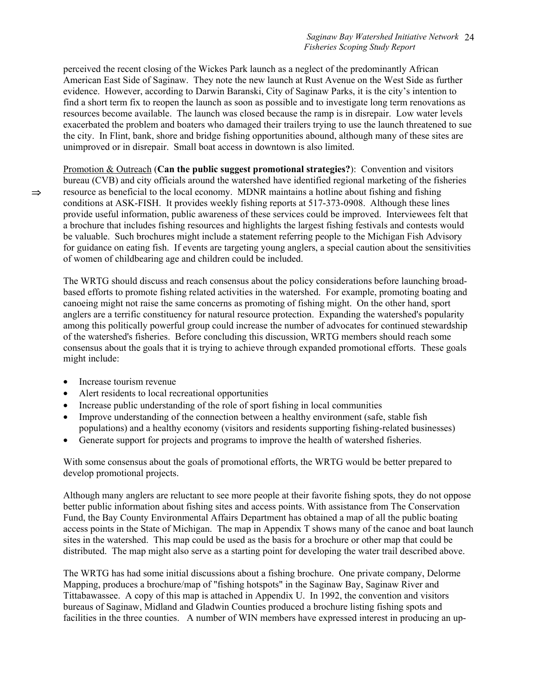perceived the recent closing of the Wickes Park launch as a neglect of the predominantly African American East Side of Saginaw. They note the new launch at Rust Avenue on the West Side as further evidence. However, according to Darwin Baranski, City of Saginaw Parks, it is the city's intention to find a short term fix to reopen the launch as soon as possible and to investigate long term renovations as resources become available. The launch was closed because the ramp is in disrepair. Low water levels exacerbated the problem and boaters who damaged their trailers trying to use the launch threatened to sue the city. In Flint, bank, shore and bridge fishing opportunities abound, although many of these sites are unimproved or in disrepair. Small boat access in downtown is also limited.

Promotion & Outreach (**Can the public suggest promotional strategies?**): Convention and visitors bureau (CVB) and city officials around the watershed have identified regional marketing of the fisheries  $\Rightarrow$  resource as beneficial to the local economy. MDNR maintains a hotline about fishing and fishing conditions at ASK-FISH. It provides weekly fishing reports at 517-373-0908. Although these lines provide useful information, public awareness of these services could be improved. Interviewees felt that a brochure that includes fishing resources and highlights the largest fishing festivals and contests would be valuable. Such brochures might include a statement referring people to the Michigan Fish Advisory for guidance on eating fish. If events are targeting young anglers, a special caution about the sensitivities of women of childbearing age and children could be included.

The WRTG should discuss and reach consensus about the policy considerations before launching broadbased efforts to promote fishing related activities in the watershed. For example, promoting boating and canoeing might not raise the same concerns as promoting of fishing might. On the other hand, sport anglers are a terrific constituency for natural resource protection. Expanding the watershed's popularity among this politically powerful group could increase the number of advocates for continued stewardship of the watershed's fisheries. Before concluding this discussion, WRTG members should reach some consensus about the goals that it is trying to achieve through expanded promotional efforts. These goals might include:

- Increase tourism revenue
- Alert residents to local recreational opportunities
- Increase public understanding of the role of sport fishing in local communities
- Improve understanding of the connection between a healthy environment (safe, stable fish populations) and a healthy economy (visitors and residents supporting fishing-related businesses)
- Generate support for projects and programs to improve the health of watershed fisheries.

With some consensus about the goals of promotional efforts, the WRTG would be better prepared to develop promotional projects.

Although many anglers are reluctant to see more people at their favorite fishing spots, they do not oppose better public information about fishing sites and access points. With assistance from The Conservation Fund, the Bay County Environmental Affairs Department has obtained a map of all the public boating access points in the State of Michigan. The map in Appendix T shows many of the canoe and boat launch sites in the watershed. This map could be used as the basis for a brochure or other map that could be distributed. The map might also serve as a starting point for developing the water trail described above.

The WRTG has had some initial discussions about a fishing brochure. One private company, Delorme Mapping, produces a brochure/map of "fishing hotspots" in the Saginaw Bay, Saginaw River and Tittabawassee. A copy of this map is attached in Appendix U. In 1992, the convention and visitors bureaus of Saginaw, Midland and Gladwin Counties produced a brochure listing fishing spots and facilities in the three counties. A number of WIN members have expressed interest in producing an up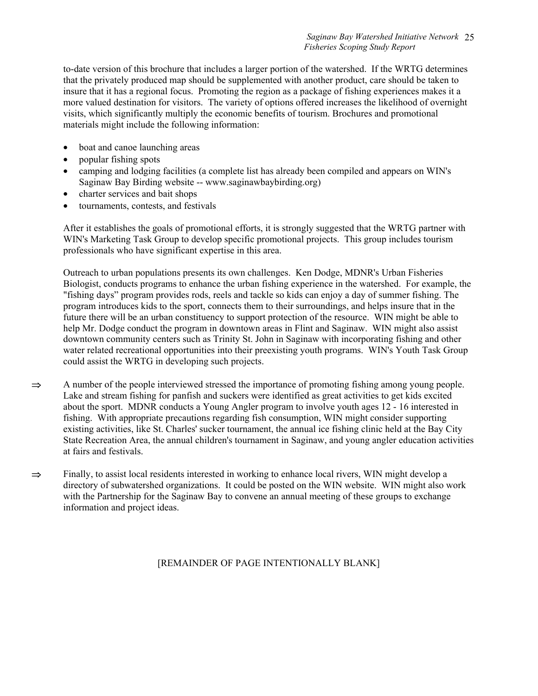to-date version of this brochure that includes a larger portion of the watershed. If the WRTG determines that the privately produced map should be supplemented with another product, care should be taken to insure that it has a regional focus. Promoting the region as a package of fishing experiences makes it a more valued destination for visitors. The variety of options offered increases the likelihood of overnight visits, which significantly multiply the economic benefits of tourism. Brochures and promotional materials might include the following information:

- boat and canoe launching areas
- popular fishing spots
- camping and lodging facilities (a complete list has already been compiled and appears on WIN's Saginaw Bay Birding website -- www.saginawbaybirding.org)
- charter services and bait shops
- tournaments, contests, and festivals

After it establishes the goals of promotional efforts, it is strongly suggested that the WRTG partner with WIN's Marketing Task Group to develop specific promotional projects. This group includes tourism professionals who have significant expertise in this area.

Outreach to urban populations presents its own challenges. Ken Dodge, MDNR's Urban Fisheries Biologist, conducts programs to enhance the urban fishing experience in the watershed. For example, the "fishing days" program provides rods, reels and tackle so kids can enjoy a day of summer fishing. The program introduces kids to the sport, connects them to their surroundings, and helps insure that in the future there will be an urban constituency to support protection of the resource. WIN might be able to help Mr. Dodge conduct the program in downtown areas in Flint and Saginaw. WIN might also assist downtown community centers such as Trinity St. John in Saginaw with incorporating fishing and other water related recreational opportunities into their preexisting youth programs. WIN's Youth Task Group could assist the WRTG in developing such projects.

- $\Rightarrow$  A number of the people interviewed stressed the importance of promoting fishing among young people. Lake and stream fishing for panfish and suckers were identified as great activities to get kids excited about the sport. MDNR conducts a Young Angler program to involve youth ages 12 - 16 interested in fishing. With appropriate precautions regarding fish consumption, WIN might consider supporting existing activities, like St. Charles' sucker tournament, the annual ice fishing clinic held at the Bay City State Recreation Area, the annual children's tournament in Saginaw, and young angler education activities at fairs and festivals.
- ⇒ Finally, to assist local residents interested in working to enhance local rivers, WIN might develop a directory of subwatershed organizations. It could be posted on the WIN website. WIN might also work with the Partnership for the Saginaw Bay to convene an annual meeting of these groups to exchange information and project ideas.

### [REMAINDER OF PAGE INTENTIONALLY BLANK]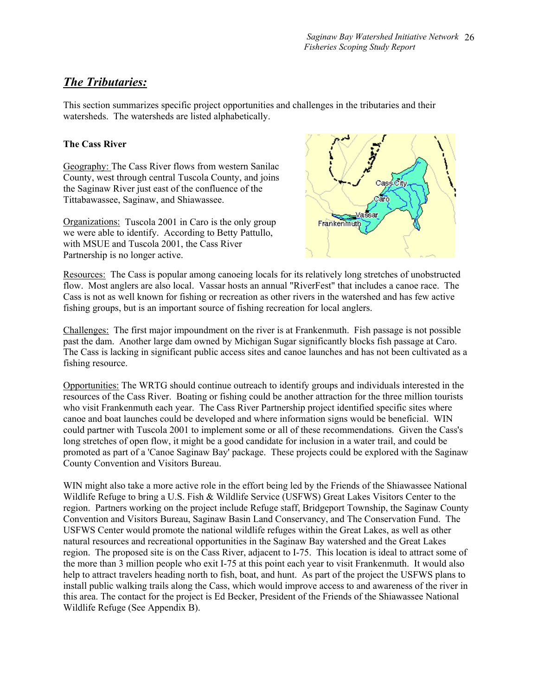# *The Tributaries:*

This section summarizes specific project opportunities and challenges in the tributaries and their watersheds. The watersheds are listed alphabetically.

### **The Cass River**

Geography: The Cass River flows from western Sanilac County, west through central Tuscola County, and joins the Saginaw River just east of the confluence of the Tittabawassee, Saginaw, and Shiawassee.

Organizations: Tuscola 2001 in Caro is the only group we were able to identify. According to Betty Pattullo, with MSUE and Tuscola 2001, the Cass River Partnership is no longer active.



Resources: The Cass is popular among canoeing locals for its relatively long stretches of unobstructed flow. Most anglers are also local. Vassar hosts an annual "RiverFest" that includes a canoe race. The Cass is not as well known for fishing or recreation as other rivers in the watershed and has few active fishing groups, but is an important source of fishing recreation for local anglers.

Challenges: The first major impoundment on the river is at Frankenmuth. Fish passage is not possible past the dam. Another large dam owned by Michigan Sugar significantly blocks fish passage at Caro. The Cass is lacking in significant public access sites and canoe launches and has not been cultivated as a fishing resource.

Opportunities: The WRTG should continue outreach to identify groups and individuals interested in the resources of the Cass River. Boating or fishing could be another attraction for the three million tourists who visit Frankenmuth each year. The Cass River Partnership project identified specific sites where canoe and boat launches could be developed and where information signs would be beneficial. WIN could partner with Tuscola 2001 to implement some or all of these recommendations. Given the Cass's long stretches of open flow, it might be a good candidate for inclusion in a water trail, and could be promoted as part of a 'Canoe Saginaw Bay' package. These projects could be explored with the Saginaw County Convention and Visitors Bureau.

WIN might also take a more active role in the effort being led by the Friends of the Shiawassee National Wildlife Refuge to bring a U.S. Fish & Wildlife Service (USFWS) Great Lakes Visitors Center to the region. Partners working on the project include Refuge staff, Bridgeport Township, the Saginaw County Convention and Visitors Bureau, Saginaw Basin Land Conservancy, and The Conservation Fund. The USFWS Center would promote the national wildlife refuges within the Great Lakes, as well as other natural resources and recreational opportunities in the Saginaw Bay watershed and the Great Lakes region. The proposed site is on the Cass River, adjacent to I-75. This location is ideal to attract some of the more than 3 million people who exit I-75 at this point each year to visit Frankenmuth. It would also help to attract travelers heading north to fish, boat, and hunt. As part of the project the USFWS plans to install public walking trails along the Cass, which would improve access to and awareness of the river in this area. The contact for the project is Ed Becker, President of the Friends of the Shiawassee National Wildlife Refuge (See Appendix B).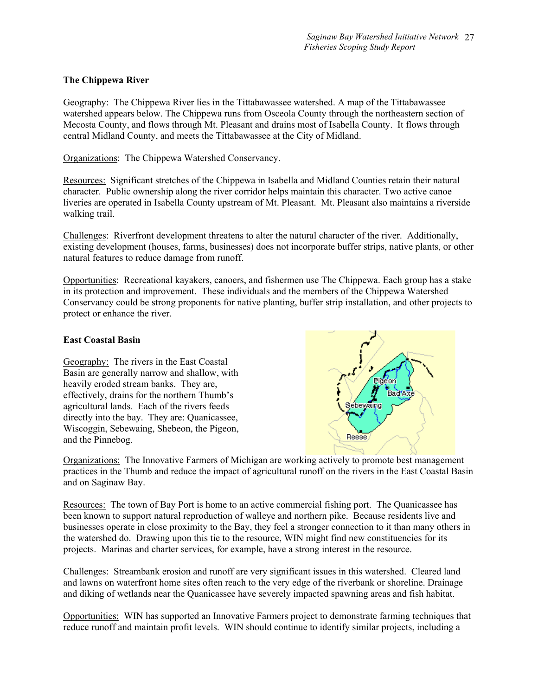### **The Chippewa River**

Geography: The Chippewa River lies in the Tittabawassee watershed. A map of the Tittabawassee watershed appears below. The Chippewa runs from Osceola County through the northeastern section of Mecosta County, and flows through Mt. Pleasant and drains most of Isabella County. It flows through central Midland County, and meets the Tittabawassee at the City of Midland.

Organizations: The Chippewa Watershed Conservancy.

Resources: Significant stretches of the Chippewa in Isabella and Midland Counties retain their natural character. Public ownership along the river corridor helps maintain this character. Two active canoe liveries are operated in Isabella County upstream of Mt. Pleasant. Mt. Pleasant also maintains a riverside walking trail.

Challenges: Riverfront development threatens to alter the natural character of the river. Additionally, existing development (houses, farms, businesses) does not incorporate buffer strips, native plants, or other natural features to reduce damage from runoff.

Opportunities: Recreational kayakers, canoers, and fishermen use The Chippewa. Each group has a stake in its protection and improvement. These individuals and the members of the Chippewa Watershed Conservancy could be strong proponents for native planting, buffer strip installation, and other projects to protect or enhance the river.

### **East Coastal Basin**

Geography: The rivers in the East Coastal Basin are generally narrow and shallow, with heavily eroded stream banks. They are, effectively, drains for the northern Thumb's agricultural lands. Each of the rivers feeds directly into the bay. They are: Quanicassee, Wiscoggin, Sebewaing, Shebeon, the Pigeon, and the Pinnebog.



Organizations: The Innovative Farmers of Michigan are working actively to promote best management practices in the Thumb and reduce the impact of agricultural runoff on the rivers in the East Coastal Basin and on Saginaw Bay.

Resources: The town of Bay Port is home to an active commercial fishing port. The Quanicassee has been known to support natural reproduction of walleye and northern pike. Because residents live and businesses operate in close proximity to the Bay, they feel a stronger connection to it than many others in the watershed do. Drawing upon this tie to the resource, WIN might find new constituencies for its projects. Marinas and charter services, for example, have a strong interest in the resource.

Challenges: Streambank erosion and runoff are very significant issues in this watershed. Cleared land and lawns on waterfront home sites often reach to the very edge of the riverbank or shoreline. Drainage and diking of wetlands near the Quanicassee have severely impacted spawning areas and fish habitat.

Opportunities: WIN has supported an Innovative Farmers project to demonstrate farming techniques that reduce runoff and maintain profit levels. WIN should continue to identify similar projects, including a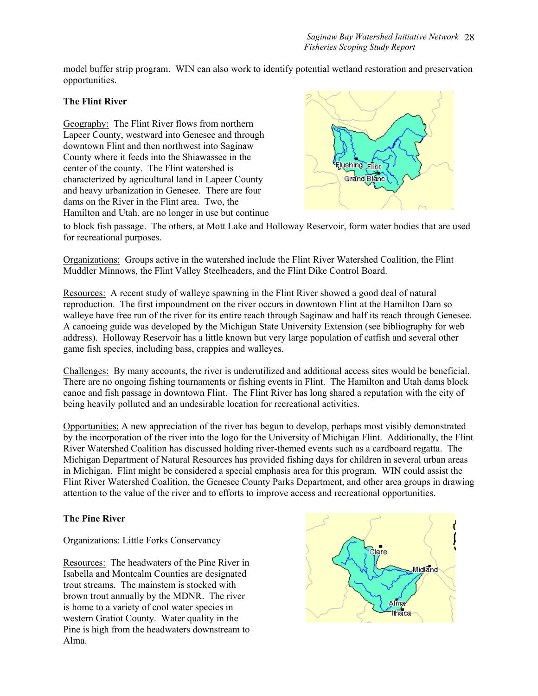model buffer strip program. WIN can also work to identify potential wetland restoration and preservation opportunities.

### **The Flint River**

Geography: The Flint River flows from northern Lapeer County, westward into Genesee and through downtown Flint and then northwest into Saginaw County where it feeds into the Shiawassee in the center of the county. The Flint watershed is characterized by agricultural land in Lapeer County and heavy urbanization in Genesee. There are four dams on the River in the Flint area. Two, the Hamilton and Utah, are no longer in use but continue



to block fish passage. The others, at Mott Lake and Holloway Reservoir, form water bodies that are used for recreational purposes.

Organizations: Groups active in the watershed include the Flint River Watershed Coalition, the Flint Muddler Minnows, the Flint Valley Steelheaders, and the Flint Dike Control Board.

Resources: A recent study of walleye spawning in the Flint River showed a good deal of natural reproduction. The first impoundment on the river occurs in downtown Flint at the Hamilton Dam so walleye have free run of the river for its entire reach through Saginaw and half its reach through Genesee. A canoeing guide was developed by the Michigan State University Extension (see bibliography for web address). Holloway Reservoir has a little known but very large population of catfish and several other game fish species, including bass, crappies and walleyes.

Challenges: By many accounts, the river is underutilized and additional access sites would be beneficial. There are no ongoing fishing tournaments or fishing events in Flint. The Hamilton and Utah dams block canoe and fish passage in downtown Flint. The Flint River has long shared a reputation with the city of being heavily polluted and an undesirable location for recreational activities.

Opportunities: A new appreciation of the river has begun to develop, perhaps most visibly demonstrated by the incorporation of the river into the logo for the University of Michigan Flint. Additionally, the Flint River Watershed Coalition has discussed holding river-themed events such as a cardboard regatta. The Michigan Department of Natural Resources has provided fishing days for children in several urban areas in Michigan. Flint might be considered a special emphasis area for this program. WIN could assist the Flint River Watershed Coalition, the Genesee County Parks Department, and other area groups in drawing attention to the value of the river and to efforts to improve access and recreational opportunities.

### **The Pine River**

Organizations: Little Forks Conservancy

Resources: The headwaters of the Pine River in Isabella and Montcalm Counties are designated trout streams. The mainstem is stocked with brown trout annually by the MDNR. The river is home to a variety of cool water species in western Gratiot County. Water quality in the Pine is high from the headwaters downstream to Alma.

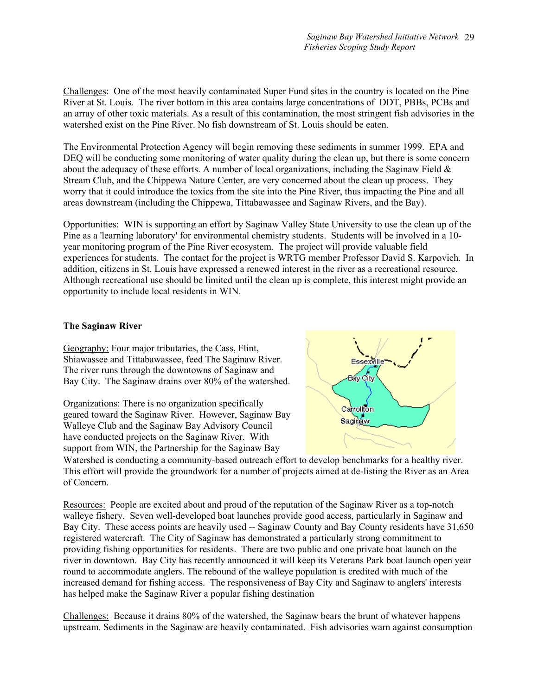Challenges: One of the most heavily contaminated Super Fund sites in the country is located on the Pine River at St. Louis. The river bottom in this area contains large concentrations of DDT, PBBs, PCBs and an array of other toxic materials. As a result of this contamination, the most stringent fish advisories in the watershed exist on the Pine River. No fish downstream of St. Louis should be eaten.

The Environmental Protection Agency will begin removing these sediments in summer 1999. EPA and DEQ will be conducting some monitoring of water quality during the clean up, but there is some concern about the adequacy of these efforts. A number of local organizations, including the Saginaw Field  $\&$ Stream Club, and the Chippewa Nature Center, are very concerned about the clean up process. They worry that it could introduce the toxics from the site into the Pine River, thus impacting the Pine and all areas downstream (including the Chippewa, Tittabawassee and Saginaw Rivers, and the Bay).

Opportunities: WIN is supporting an effort by Saginaw Valley State University to use the clean up of the Pine as a 'learning laboratory' for environmental chemistry students. Students will be involved in a 10 year monitoring program of the Pine River ecosystem. The project will provide valuable field experiences for students. The contact for the project is WRTG member Professor David S. Karpovich. In addition, citizens in St. Louis have expressed a renewed interest in the river as a recreational resource. Although recreational use should be limited until the clean up is complete, this interest might provide an opportunity to include local residents in WIN.

### **The Saginaw River**

Geography: Four major tributaries, the Cass, Flint, Shiawassee and Tittabawassee, feed The Saginaw River. The river runs through the downtowns of Saginaw and Bay City. The Saginaw drains over 80% of the watershed.

Organizations: There is no organization specifically geared toward the Saginaw River. However, Saginaw Bay Walleye Club and the Saginaw Bay Advisory Council have conducted projects on the Saginaw River. With support from WIN, the Partnership for the Saginaw Bay



Watershed is conducting a community-based outreach effort to develop benchmarks for a healthy river. This effort will provide the groundwork for a number of projects aimed at de-listing the River as an Area of Concern.

Resources: People are excited about and proud of the reputation of the Saginaw River as a top-notch walleye fishery. Seven well-developed boat launches provide good access, particularly in Saginaw and Bay City. These access points are heavily used -- Saginaw County and Bay County residents have 31,650 registered watercraft. The City of Saginaw has demonstrated a particularly strong commitment to providing fishing opportunities for residents. There are two public and one private boat launch on the river in downtown. Bay City has recently announced it will keep its Veterans Park boat launch open year round to accommodate anglers. The rebound of the walleye population is credited with much of the increased demand for fishing access. The responsiveness of Bay City and Saginaw to anglers' interests has helped make the Saginaw River a popular fishing destination

Challenges: Because it drains 80% of the watershed, the Saginaw bears the brunt of whatever happens upstream. Sediments in the Saginaw are heavily contaminated. Fish advisories warn against consumption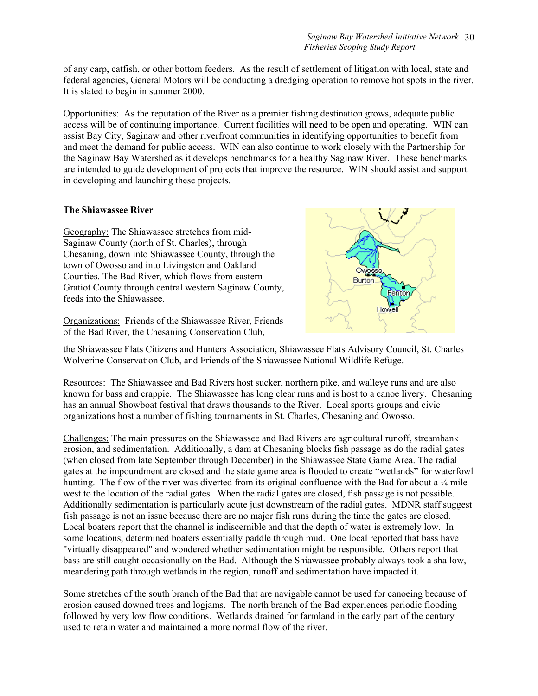of any carp, catfish, or other bottom feeders. As the result of settlement of litigation with local, state and federal agencies, General Motors will be conducting a dredging operation to remove hot spots in the river. It is slated to begin in summer 2000.

Opportunities: As the reputation of the River as a premier fishing destination grows, adequate public access will be of continuing importance. Current facilities will need to be open and operating. WIN can assist Bay City, Saginaw and other riverfront communities in identifying opportunities to benefit from and meet the demand for public access. WIN can also continue to work closely with the Partnership for the Saginaw Bay Watershed as it develops benchmarks for a healthy Saginaw River. These benchmarks are intended to guide development of projects that improve the resource. WIN should assist and support in developing and launching these projects.

### **The Shiawassee River**

Geography: The Shiawassee stretches from mid-Saginaw County (north of St. Charles), through Chesaning, down into Shiawassee County, through the town of Owosso and into Livingston and Oakland Counties. The Bad River, which flows from eastern Gratiot County through central western Saginaw County, feeds into the Shiawassee.

Organizations: Friends of the Shiawassee River, Friends of the Bad River, the Chesaning Conservation Club,



the Shiawassee Flats Citizens and Hunters Association, Shiawassee Flats Advisory Council, St. Charles Wolverine Conservation Club, and Friends of the Shiawassee National Wildlife Refuge.

Resources: The Shiawassee and Bad Rivers host sucker, northern pike, and walleye runs and are also known for bass and crappie. The Shiawassee has long clear runs and is host to a canoe livery. Chesaning has an annual Showboat festival that draws thousands to the River. Local sports groups and civic organizations host a number of fishing tournaments in St. Charles, Chesaning and Owosso.

Challenges: The main pressures on the Shiawassee and Bad Rivers are agricultural runoff, streambank erosion, and sedimentation. Additionally, a dam at Chesaning blocks fish passage as do the radial gates (when closed from late September through December) in the Shiawassee State Game Area. The radial gates at the impoundment are closed and the state game area is flooded to create "wetlands" for waterfowl hunting. The flow of the river was diverted from its original confluence with the Bad for about a  $\frac{1}{4}$  mile west to the location of the radial gates. When the radial gates are closed, fish passage is not possible. Additionally sedimentation is particularly acute just downstream of the radial gates. MDNR staff suggest fish passage is not an issue because there are no major fish runs during the time the gates are closed. Local boaters report that the channel is indiscernible and that the depth of water is extremely low. In some locations, determined boaters essentially paddle through mud. One local reported that bass have "virtually disappeared" and wondered whether sedimentation might be responsible. Others report that bass are still caught occasionally on the Bad. Although the Shiawassee probably always took a shallow, meandering path through wetlands in the region, runoff and sedimentation have impacted it.

Some stretches of the south branch of the Bad that are navigable cannot be used for canoeing because of erosion caused downed trees and logjams. The north branch of the Bad experiences periodic flooding followed by very low flow conditions. Wetlands drained for farmland in the early part of the century used to retain water and maintained a more normal flow of the river.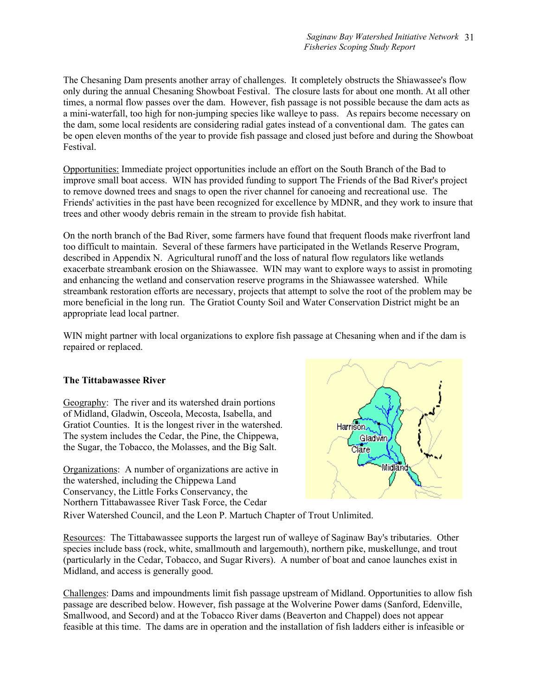The Chesaning Dam presents another array of challenges. It completely obstructs the Shiawassee's flow only during the annual Chesaning Showboat Festival. The closure lasts for about one month. At all other times, a normal flow passes over the dam. However, fish passage is not possible because the dam acts as a mini-waterfall, too high for non-jumping species like walleye to pass. As repairs become necessary on the dam, some local residents are considering radial gates instead of a conventional dam. The gates can be open eleven months of the year to provide fish passage and closed just before and during the Showboat Festival.

Opportunities: Immediate project opportunities include an effort on the South Branch of the Bad to improve small boat access. WIN has provided funding to support The Friends of the Bad River's project to remove downed trees and snags to open the river channel for canoeing and recreational use. The Friends' activities in the past have been recognized for excellence by MDNR, and they work to insure that trees and other woody debris remain in the stream to provide fish habitat.

On the north branch of the Bad River, some farmers have found that frequent floods make riverfront land too difficult to maintain. Several of these farmers have participated in the Wetlands Reserve Program, described in Appendix N. Agricultural runoff and the loss of natural flow regulators like wetlands exacerbate streambank erosion on the Shiawassee. WIN may want to explore ways to assist in promoting and enhancing the wetland and conservation reserve programs in the Shiawassee watershed. While streambank restoration efforts are necessary, projects that attempt to solve the root of the problem may be more beneficial in the long run. The Gratiot County Soil and Water Conservation District might be an appropriate lead local partner.

WIN might partner with local organizations to explore fish passage at Chesaning when and if the dam is repaired or replaced.

### **The Tittabawassee River**

Geography: The river and its watershed drain portions of Midland, Gladwin, Osceola, Mecosta, Isabella, and Gratiot Counties. It is the longest river in the watershed. The system includes the Cedar, the Pine, the Chippewa, the Sugar, the Tobacco, the Molasses, and the Big Salt.

Organizations: A number of organizations are active in the watershed, including the Chippewa Land Conservancy, the Little Forks Conservancy, the Northern Tittabawassee River Task Force, the Cedar



River Watershed Council, and the Leon P. Martuch Chapter of Trout Unlimited.

Resources: The Tittabawassee supports the largest run of walleye of Saginaw Bay's tributaries. Other species include bass (rock, white, smallmouth and largemouth), northern pike, muskellunge, and trout (particularly in the Cedar, Tobacco, and Sugar Rivers). A number of boat and canoe launches exist in Midland, and access is generally good.

Challenges: Dams and impoundments limit fish passage upstream of Midland. Opportunities to allow fish passage are described below. However, fish passage at the Wolverine Power dams (Sanford, Edenville, Smallwood, and Secord) and at the Tobacco River dams (Beaverton and Chappel) does not appear feasible at this time. The dams are in operation and the installation of fish ladders either is infeasible or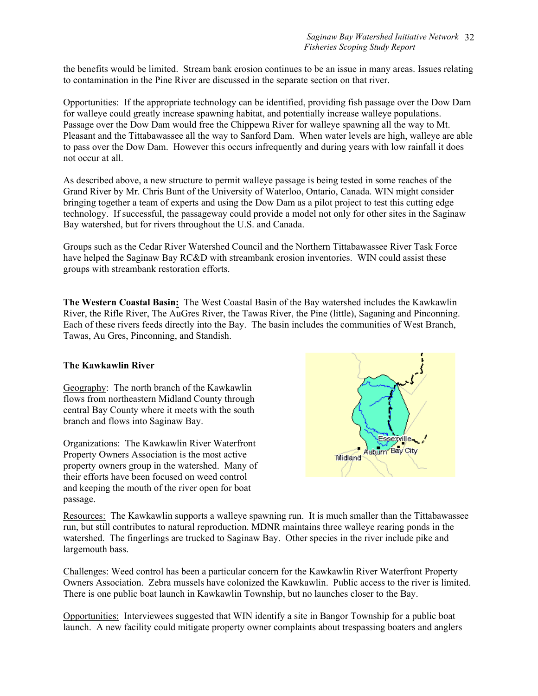the benefits would be limited. Stream bank erosion continues to be an issue in many areas. Issues relating to contamination in the Pine River are discussed in the separate section on that river.

Opportunities: If the appropriate technology can be identified, providing fish passage over the Dow Dam for walleye could greatly increase spawning habitat, and potentially increase walleye populations. Passage over the Dow Dam would free the Chippewa River for walleye spawning all the way to Mt. Pleasant and the Tittabawassee all the way to Sanford Dam. When water levels are high, walleye are able to pass over the Dow Dam. However this occurs infrequently and during years with low rainfall it does not occur at all.

As described above, a new structure to permit walleye passage is being tested in some reaches of the Grand River by Mr. Chris Bunt of the University of Waterloo, Ontario, Canada. WIN might consider bringing together a team of experts and using the Dow Dam as a pilot project to test this cutting edge technology. If successful, the passageway could provide a model not only for other sites in the Saginaw Bay watershed, but for rivers throughout the U.S. and Canada.

Groups such as the Cedar River Watershed Council and the Northern Tittabawassee River Task Force have helped the Saginaw Bay RC&D with streambank erosion inventories. WIN could assist these groups with streambank restoration efforts.

**The Western Coastal Basin:** The West Coastal Basin of the Bay watershed includes the Kawkawlin River, the Rifle River, The AuGres River, the Tawas River, the Pine (little), Saganing and Pinconning. Each of these rivers feeds directly into the Bay. The basin includes the communities of West Branch, Tawas, Au Gres, Pinconning, and Standish.

### **The Kawkawlin River**

Geography: The north branch of the Kawkawlin flows from northeastern Midland County through central Bay County where it meets with the south branch and flows into Saginaw Bay.

Organizations: The Kawkawlin River Waterfront Property Owners Association is the most active property owners group in the watershed. Many of their efforts have been focused on weed control and keeping the mouth of the river open for boat passage.



Resources: The Kawkawlin supports a walleye spawning run. It is much smaller than the Tittabawassee run, but still contributes to natural reproduction. MDNR maintains three walleye rearing ponds in the watershed. The fingerlings are trucked to Saginaw Bay. Other species in the river include pike and largemouth bass.

Challenges: Weed control has been a particular concern for the Kawkawlin River Waterfront Property Owners Association. Zebra mussels have colonized the Kawkawlin. Public access to the river is limited. There is one public boat launch in Kawkawlin Township, but no launches closer to the Bay.

Opportunities: Interviewees suggested that WIN identify a site in Bangor Township for a public boat launch. A new facility could mitigate property owner complaints about trespassing boaters and anglers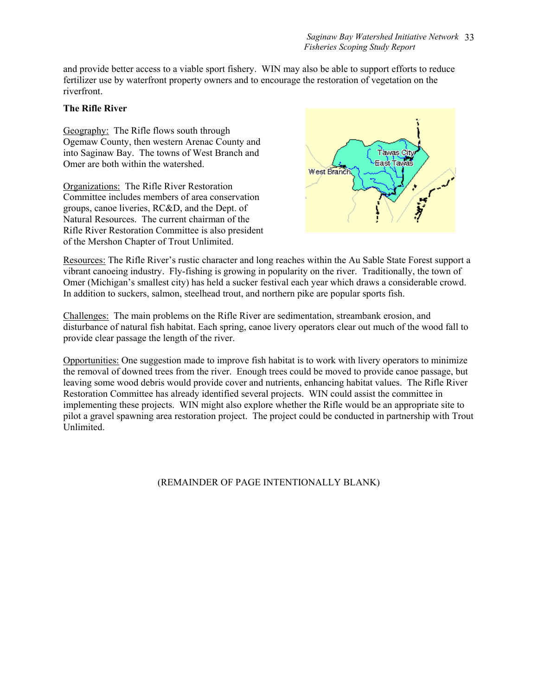and provide better access to a viable sport fishery. WIN may also be able to support efforts to reduce fertilizer use by waterfront property owners and to encourage the restoration of vegetation on the riverfront.

### **The Rifle River**

Geography: The Rifle flows south through Ogemaw County, then western Arenac County and into Saginaw Bay. The towns of West Branch and Omer are both within the watershed.

Organizations: The Rifle River Restoration Committee includes members of area conservation groups, canoe liveries, RC&D, and the Dept. of Natural Resources. The current chairman of the Rifle River Restoration Committee is also president of the Mershon Chapter of Trout Unlimited.



Resources: The Rifle River's rustic character and long reaches within the Au Sable State Forest support a vibrant canoeing industry. Fly-fishing is growing in popularity on the river. Traditionally, the town of Omer (Michigan's smallest city) has held a sucker festival each year which draws a considerable crowd. In addition to suckers, salmon, steelhead trout, and northern pike are popular sports fish.

Challenges: The main problems on the Rifle River are sedimentation, streambank erosion, and disturbance of natural fish habitat. Each spring, canoe livery operators clear out much of the wood fall to provide clear passage the length of the river.

Opportunities: One suggestion made to improve fish habitat is to work with livery operators to minimize the removal of downed trees from the river. Enough trees could be moved to provide canoe passage, but leaving some wood debris would provide cover and nutrients, enhancing habitat values. The Rifle River Restoration Committee has already identified several projects. WIN could assist the committee in implementing these projects. WIN might also explore whether the Rifle would be an appropriate site to pilot a gravel spawning area restoration project. The project could be conducted in partnership with Trout Unlimited.

### (REMAINDER OF PAGE INTENTIONALLY BLANK)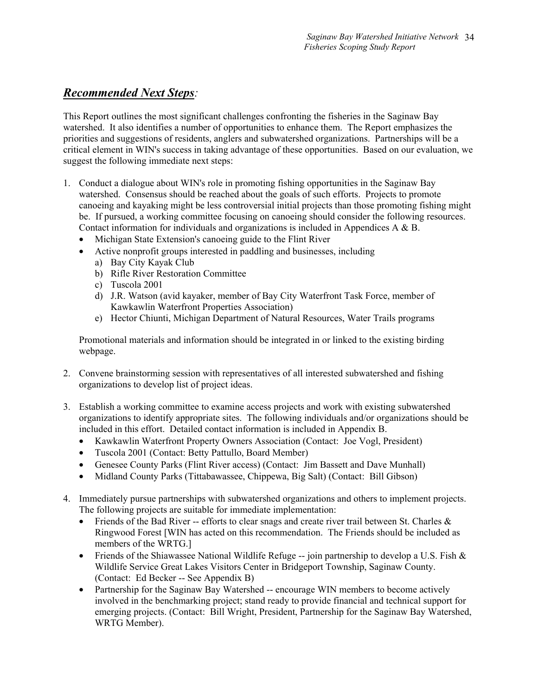# *Recommended Next Steps:*

This Report outlines the most significant challenges confronting the fisheries in the Saginaw Bay watershed. It also identifies a number of opportunities to enhance them. The Report emphasizes the priorities and suggestions of residents, anglers and subwatershed organizations. Partnerships will be a critical element in WIN's success in taking advantage of these opportunities. Based on our evaluation, we suggest the following immediate next steps:

- 1. Conduct a dialogue about WIN's role in promoting fishing opportunities in the Saginaw Bay watershed. Consensus should be reached about the goals of such efforts. Projects to promote canoeing and kayaking might be less controversial initial projects than those promoting fishing might be. If pursued, a working committee focusing on canoeing should consider the following resources. Contact information for individuals and organizations is included in Appendices A & B.
	- Michigan State Extension's canoeing guide to the Flint River
	- Active nonprofit groups interested in paddling and businesses, including
		- a) Bay City Kayak Club
		- b) Rifle River Restoration Committee
		- c) Tuscola 2001
		- d) J.R. Watson (avid kayaker, member of Bay City Waterfront Task Force, member of Kawkawlin Waterfront Properties Association)
		- e) Hector Chiunti, Michigan Department of Natural Resources, Water Trails programs

Promotional materials and information should be integrated in or linked to the existing birding webpage.

- 2. Convene brainstorming session with representatives of all interested subwatershed and fishing organizations to develop list of project ideas.
- 3. Establish a working committee to examine access projects and work with existing subwatershed organizations to identify appropriate sites. The following individuals and/or organizations should be included in this effort. Detailed contact information is included in Appendix B.
	- Kawkawlin Waterfront Property Owners Association (Contact: Joe Vogl, President)
	- Tuscola 2001 (Contact: Betty Pattullo, Board Member)
	- Genesee County Parks (Flint River access) (Contact: Jim Bassett and Dave Munhall)
	- Midland County Parks (Tittabawassee, Chippewa, Big Salt) (Contact: Bill Gibson)
- 4. Immediately pursue partnerships with subwatershed organizations and others to implement projects. The following projects are suitable for immediate implementation:
	- Friends of the Bad River -- efforts to clear snags and create river trail between St. Charles  $\&$ Ringwood Forest [WIN has acted on this recommendation. The Friends should be included as members of the WRTG.]
	- Friends of the Shiawassee National Wildlife Refuge -- join partnership to develop a U.S. Fish & Wildlife Service Great Lakes Visitors Center in Bridgeport Township, Saginaw County. (Contact: Ed Becker -- See Appendix B)
	- Partnership for the Saginaw Bay Watershed -- encourage WIN members to become actively involved in the benchmarking project; stand ready to provide financial and technical support for emerging projects. (Contact: Bill Wright, President, Partnership for the Saginaw Bay Watershed, WRTG Member).